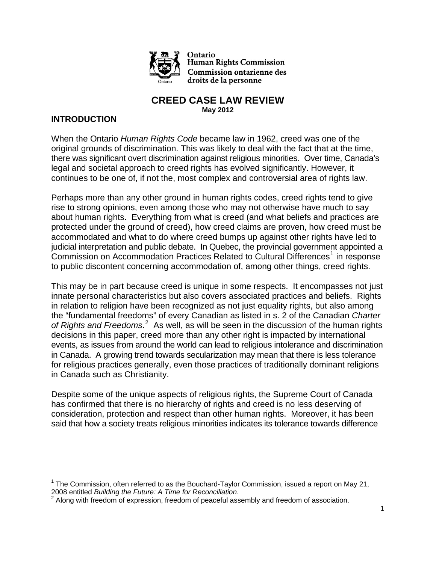

Ontario **Human Rights Commission Commission ontarienne des** droits de la personne

#### **CREED CASE LAW REVIEW May 2012**

### **INTRODUCTION**

When the Ontario *Human Rights Code* became law in 1962, creed was one of the original grounds of discrimination. This was likely to deal with the fact that at the time, there was significant overt discrimination against religious minorities. Over time, Canada's legal and societal approach to creed rights has evolved significantly. However, it continues to be one of, if not the, most complex and controversial area of rights law.

Perhaps more than any other ground in human rights codes, creed rights tend to give rise to strong opinions, even among those who may not otherwise have much to say about human rights. Everything from what is creed (and what beliefs and practices are protected under the ground of creed), how creed claims are proven, how creed must be accommodated and what to do where creed bumps up against other rights have led to judicial interpretation and public debate. In Quebec, the provincial government appointed a Commission on Accommodation Practices Related to Cultural Differences<sup>[1](#page-0-0)</sup> in response to public discontent concerning accommodation of, among other things, creed rights.

This may be in part because creed is unique in some respects. It encompasses not just innate personal characteristics but also covers associated practices and beliefs. Rights in relation to religion have been recognized as not just equality rights, but also among the "fundamental freedoms" of every Canadian as listed in s. 2 of the Canadian *Charter*  of Rights and Freedoms.<sup>[2](#page-0-1)</sup> As well, as will be seen in the discussion of the human rights decisions in this paper, creed more than any other right is impacted by international events, as issues from around the world can lead to religious intolerance and discrimination in Canada. A growing trend towards secularization may mean that there is less tolerance for religious practices generally, even those practices of traditionally dominant religions in Canada such as Christianity.

Despite some of the unique aspects of religious rights, the Supreme Court of Canada has confirmed that there is no hierarchy of rights and creed is no less deserving of consideration, protection and respect than other human rights. Moreover, it has been said that how a society treats religious minorities indicates its tolerance towards difference

<span id="page-0-0"></span> $1$  The Commission, often referred to as the Bouchard-Taylor Commission, issued a report on May 21, 2008 entitled *Building the Future: A Time for Reconciliation*. 2

<span id="page-0-1"></span>Along with freedom of expression, freedom of peaceful assembly and freedom of association.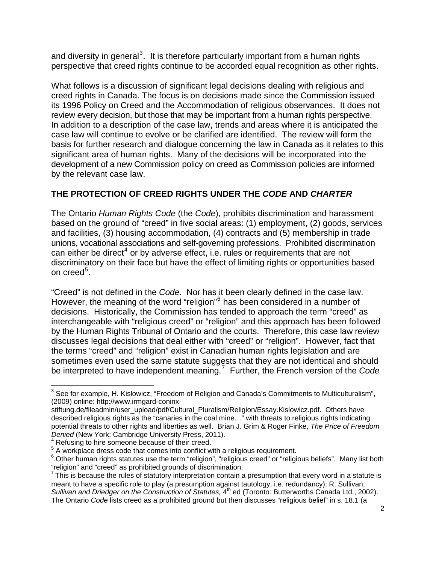and diversity in general<sup>[3](#page-1-0)</sup>. It is therefore particularly important from a human rights perspective that creed rights continue to be accorded equal recognition as other rights.

What follows is a discussion of significant legal decisions dealing with religious and creed rights in Canada. The focus is on decisions made since the Commission issued its 1996 Policy on Creed and the Accommodation of religious observances. It does not review every decision, but those that may be important from a human rights perspective. In addition to a description of the case law, trends and areas where it is anticipated the case law will continue to evolve or be clarified are identified. The review will form the basis for further research and dialogue concerning the law in Canada as it relates to this significant area of human rights. Many of the decisions will be incorporated into the development of a new Commission policy on creed as Commission policies are informed by the relevant case law.

## **THE PROTECTION OF CREED RIGHTS UNDER THE** *CODE* **AND** *CHARTER*

The Ontario *Human Rights Code* (the *Code*), prohibits discrimination and harassment based on the ground of "creed" in five social areas: (1) employment, (2) goods, services and facilities, (3) housing accommodation, (4) contracts and (5) membership in trade unions, vocational associations and self-governing professions. Prohibited discrimination can either be direct<sup>[4](#page-1-1)</sup> or by adverse effect, i.e. rules or requirements that are not discriminatory on their face but have the effect of limiting rights or opportunities based on creed<sup>[5](#page-1-2)</sup>.

"Creed" is not defined in the *Code*. Nor has it been clearly defined in the case law. However, the meaning of the word "religion"<sup>[6](#page-1-3)</sup> has been considered in a number of decisions. Historically, the Commission has tended to approach the term "creed" as interchangeable with "religious creed" or "religion" and this approach has been followed by the Human Rights Tribunal of Ontario and the courts. Therefore, this case law review discusses legal decisions that deal either with "creed" or "religion". However, fact that the terms "creed" and "religion" exist in Canadian human rights legislation and are sometimes even used the same statute suggests that they are not identical and should be interpreted to have independent meaning.[7](#page-1-4) Further, the French version of the *Code*

<span id="page-1-0"></span>  $3$  See for example, H. Kislowicz, "Freedom of Religion and Canada's Commitments to Multiculturalism", (2009) online: http://www.irmgard-coninx-

stiftung.de/fileadmin/user\_upload/pdf/Cultural\_Pluralism/Religion/Essay.Kislowicz.pdf. Others have described religious rights as the "canaries in the coal mine…" with threats to religious rights indicating potential threats to other rights and liberties as well. Brian J. Grim & Roger Finke, *The Price of Freedom Denied* (New York: Cambridge University Press, 2011).

<span id="page-1-1"></span> $4$  Refusing to hire someone because of their creed.

<span id="page-1-2"></span><sup>&</sup>lt;sup>5</sup> A workplace dress code that comes into conflict with a religious requirement.

<span id="page-1-3"></span><sup>&</sup>lt;sup>6</sup>. Other human rights statutes use the term "religion", "religious creed" or "religious beliefs". Many list both "religion" and "creed" as prohibited grounds of discrimination.<br><sup>7</sup> This is because the rules of statutory interpretation contain a presumption that every word in a statute is

<span id="page-1-4"></span>meant to have a specific role to play (a presumption against tautology, i.e. redundancy); R. Sullivan, Sullivan and Driedger on the Construction of Statutes, 4<sup>th</sup> ed (Toronto: Butterworths Canada Ltd., 2002). The Ontario *Code* lists creed as a prohibited ground but then discusses "religious belief" in s. 18.1 (a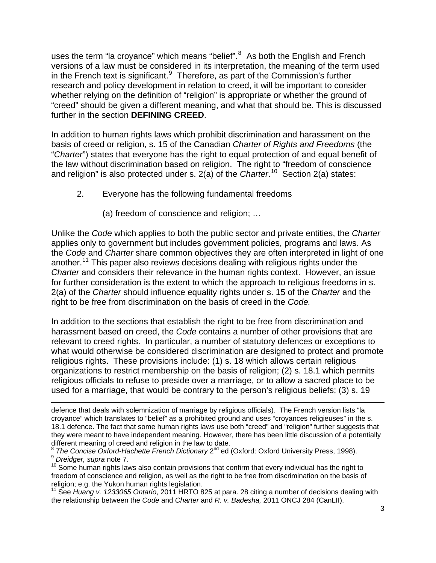uses the term "la croyance" which means "belief". $8$  As both the English and French versions of a law must be considered in its interpretation, the meaning of the term used in the French text is significant. $9$  Therefore, as part of the Commission's further research and policy development in relation to creed, it will be important to consider whether relying on the definition of "religion" is appropriate or whether the ground of "creed" should be given a different meaning, and what that should be. This is discussed further in the section **DEFINING CREED**.

In addition to human rights laws which prohibit discrimination and harassment on the basis of creed or religion, s. 15 of the Canadian *Charter of Rights and Freedoms* (the "*Charter*") states that everyone has the right to equal protection of and equal benefit of the law without discrimination based on religion. The right to "freedom of conscience and religion" is also protected under s. 2(a) of the *Charter*. [10](#page-2-2) Section 2(a) states:

- 2. Everyone has the following fundamental freedoms
	- (a) freedom of conscience and religion; …

Unlike the *Code* which applies to both the public sector and private entities, the *Charter* applies only to government but includes government policies, programs and laws. As the *Code* and *Charter* share common objectives they are often interpreted in light of one another.[11](#page-2-3) This paper also reviews decisions dealing with religious rights under the *Charter* and considers their relevance in the human rights context. However, an issue for further consideration is the extent to which the approach to religious freedoms in s. 2(a) of the *Charter* should influence equality rights under s. 15 of the *Charter* and the right to be free from discrimination on the basis of creed in the *Code.* 

In addition to the sections that establish the right to be free from discrimination and harassment based on creed, the *Code* contains a number of other provisions that are relevant to creed rights. In particular, a number of statutory defences or exceptions to what would otherwise be considered discrimination are designed to protect and promote religious rights. These provisions include: (1) s. 18 which allows certain religious organizations to restrict membership on the basis of religion; (2) s. 18.1 which permits religious officials to refuse to preside over a marriage, or to allow a sacred place to be used for a marriage, that would be contrary to the person's religious beliefs; (3) s. 19

<span id="page-2-3"></span>11 See *Huang v. 1233065 Ontario*, 2011 HRTO 825 at para. 28 citing a number of decisions dealing with the relationship between the *Code* and *Charter* and *R. v. Badesha,* 2011 ONCJ 284 (CanLII).

<sup>&</sup>lt;u> 1989 - Johann Stein, marwolaethau a gweledydd a ganlad y ganlad y ganlad y ganlad y ganlad y ganlad y ganlad</u> defence that deals with solemnization of marriage by religious officials). The French version lists "la croyance" which translates to "belief" as a prohibited ground and uses "croyances religieuses" in the s. 18.1 defence. The fact that some human rights laws use both "creed" and "religion" further suggests that they were meant to have independent meaning. However, there has been little discussion of a potentially different meaning of creed and religion in the law to date.<br>
<sup>8</sup> The Concise Oxford-Hachette French Dictionary 2<sup>nd</sup> ed (Oxford: Oxford University Press, 1998).

<span id="page-2-1"></span><span id="page-2-0"></span>b Dreidger, supra note 7.<br><sup>9</sup> Dreidger, supra note 7.<br><sup>10</sup> Some human rights laws also contain provisions that confirm that every individual has the right to

<span id="page-2-2"></span>freedom of conscience and religion, as well as the right to be free from discrimination on the basis of religion; e.g. the Yukon human rights legislation.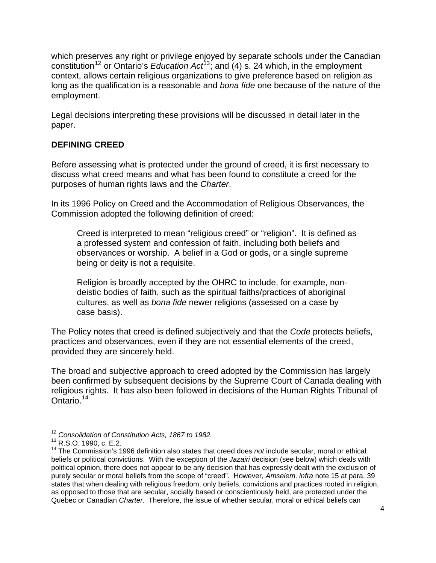which preserves any right or privilege enjoyed by separate schools under the Canadian constitution[12](#page-3-0) or Ontario's *Education Act*[13](#page-3-1); and (4) s. 24 which, in the employment context, allows certain religious organizations to give preference based on religion as long as the qualification is a reasonable and *bona fide* one because of the nature of the employment.

Legal decisions interpreting these provisions will be discussed in detail later in the paper.

## **DEFINING CREED**

Before assessing what is protected under the ground of creed, it is first necessary to discuss what creed means and what has been found to constitute a creed for the purposes of human rights laws and the *Charter*.

In its 1996 Policy on Creed and the Accommodation of Religious Observances, the Commission adopted the following definition of creed:

Creed is interpreted to mean "religious creed" or "religion". It is defined as a professed system and confession of faith, including both beliefs and observances or worship. A belief in a God or gods, or a single supreme being or deity is not a requisite.

Religion is broadly accepted by the OHRC to include, for example, nondeistic bodies of faith, such as the spiritual faiths/practices of aboriginal cultures, as well as *bona fide* newer religions (assessed on a case by case basis).

The Policy notes that creed is defined subjectively and that the *Code* protects beliefs, practices and observances, even if they are not essential elements of the creed, provided they are sincerely held.

The broad and subjective approach to creed adopted by the Commission has largely been confirmed by subsequent decisions by the Supreme Court of Canada dealing with religious rights. It has also been followed in decisions of the Human Rights Tribunal of Ontario.<sup>[14](#page-3-2)</sup>

 <sup>12</sup> *Consolidation of Constitution Acts, 1867 to 1982.*

<span id="page-3-0"></span><sup>13</sup> R.S.O. 1990, c. E.2.

<span id="page-3-2"></span><span id="page-3-1"></span><sup>14</sup> The Commission's 1996 definition also states that creed does *not* include secular, moral or ethical beliefs or political convictions. With the exception of the *Jazairi* decision (see below) which deals with political opinion, there does not appear to be any decision that has expressly dealt with the exclusion of purely secular or moral beliefs from the scope of "creed". However, *Amselem, infra* note 15 at para. 39 states that when dealing with religious freedom, only beliefs, convictions and practices rooted in religion, as opposed to those that are secular, socially based or conscientiously held, are protected under the Quebec or Canadian *Charter*. Therefore, the issue of whether secular, moral or ethical beliefs can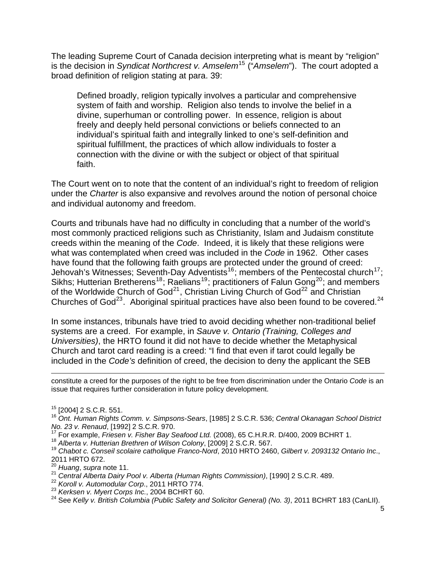The leading Supreme Court of Canada decision interpreting what is meant by "religion" is the decision in *Syndicat Northcrest v. Amselem<sup>[15](#page-4-0)</sup> ("Amselem")*. The court adopted a broad definition of religion stating at para. 39:

Defined broadly, religion typically involves a particular and comprehensive system of faith and worship. Religion also tends to involve the belief in a divine, superhuman or controlling power. In essence, religion is about freely and deeply held personal convictions or beliefs connected to an individual's spiritual faith and integrally linked to one's self-definition and spiritual fulfillment, the practices of which allow individuals to foster a connection with the divine or with the subject or object of that spiritual faith.

The Court went on to note that the content of an individual's right to freedom of religion under the *Charter* is also expansive and revolves around the notion of personal choice and individual autonomy and freedom.

Courts and tribunals have had no difficulty in concluding that a number of the world's most commonly practiced religions such as Christianity, Islam and Judaism constitute creeds within the meaning of the *Code*. Indeed, it is likely that these religions were what was contemplated when creed was included in the *Code* in 1962. Other cases have found that the following faith groups are protected under the ground of creed: Jehovah's Witnesses; Seventh-Day Adventists<sup>[16](#page-4-1)</sup>; members of the Pentecostal church<sup>[17](#page-4-2)</sup>; Sikhs; Hutterian Bretherens<sup>[18](#page-4-3)</sup>; Raelians<sup>[19](#page-4-4)</sup>; practitioners of Falun Gong<sup>[20](#page-4-5)</sup>; and members of the Worldwide Church of  $God<sup>21</sup>$  $God<sup>21</sup>$  $God<sup>21</sup>$ , Christian Living Church of  $God<sup>22</sup>$  $God<sup>22</sup>$  $God<sup>22</sup>$  and Christian Churches of God<sup>[23](#page-4-8)</sup>. Aboriginal spiritual practices have also been found to be covered.<sup>[24](#page-4-9)</sup>

In some instances, tribunals have tried to avoid deciding whether non-traditional belief systems are a creed. For example, in *Sauve v. Ontario (Training, Colleges and Universities)*, the HRTO found it did not have to decide whether the Metaphysical Church and tarot card reading is a creed: "I find that even if tarot could legally be included in the *Code's* definition of creed, the decision to deny the applicant the SEB

<u> 1989 - Johann Stein, marwolaethau a gweledydd a ganlad y ganlad y ganlad y ganlad y ganlad y ganlad y ganlad</u> constitute a creed for the purposes of the right to be free from discrimination under the Ontario *Code* is an issue that requires further consideration in future policy development.

- 
- 
- <span id="page-4-4"></span><span id="page-4-3"></span><span id="page-4-2"></span><sup>18</sup> Alberta v. Hutterian Brethren of Wilson Colony, [2009] 2 S.C.R. 567.<br><sup>19</sup> Chabot c. Conseil scolaire catholique Franco-Nord, 2010 HRTO 2460, Gilbert v. 2093132 Ontario Inc., 2011 HRTO 672.
- <sup>20</sup> *Huang*, *supra* note 11.
- <span id="page-4-6"></span><span id="page-4-5"></span><sup>21</sup> *Central Alberta Dairy Pool v. Alberta (Human Rights Commission)*, [1990] 2 S.C.R. 489.
- <span id="page-4-7"></span><sup>22</sup> *Koroll v. Automodular Corp*., 2011 HRTO 774.
- <sup>23</sup> *Kerksen v. Myert Corps Inc.*, 2004 BCHRT 60.
- <span id="page-4-9"></span><span id="page-4-8"></span>24 See *Kelly v. British Columbia (Public Safety and Solicitor General) (No. 3)*, 2011 BCHRT 183 (CanLII).

<sup>15 [2004] 2</sup> S.C.R. 551.

<span id="page-4-1"></span><span id="page-4-0"></span><sup>16</sup> *Ont. Human Rights Comm. v. Simpsons-Sears*, [1985] 2 S.C.R. 536; *Central Okanagan School District No. 23 v. Renaud*, [1992] 2 S.C.R. 970.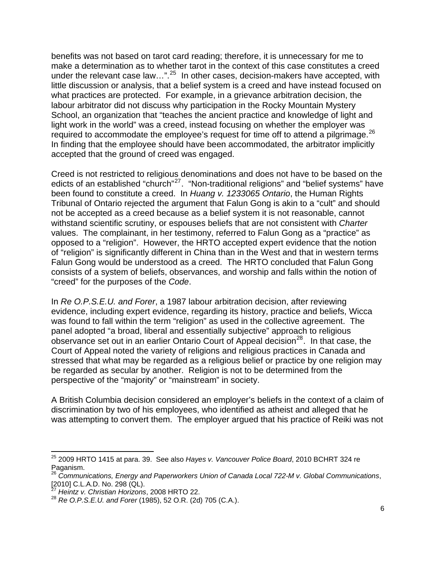benefits was not based on tarot card reading; therefore, it is unnecessary for me to make a determination as to whether tarot in the context of this case constitutes a creed under the relevant case law...".<sup>[25](#page-5-0)</sup> In other cases, decision-makers have accepted, with little discussion or analysis, that a belief system is a creed and have instead focused on what practices are protected. For example, in a grievance arbitration decision, the labour arbitrator did not discuss why participation in the Rocky Mountain Mystery School, an organization that "teaches the ancient practice and knowledge of light and light work in the world" was a creed, instead focusing on whether the employer was required to accommodate the employee's request for time off to attend a pilgrimage.<sup>[26](#page-5-1)</sup> In finding that the employee should have been accommodated, the arbitrator implicitly accepted that the ground of creed was engaged.

Creed is not restricted to religious denominations and does not have to be based on the edicts of an established "church"<sup>[27](#page-5-2)</sup>. "Non-traditional religions" and "belief systems" have been found to constitute a creed. In *Huang v. 1233065 Ontario*, the Human Rights Tribunal of Ontario rejected the argument that Falun Gong is akin to a "cult" and should not be accepted as a creed because as a belief system it is not reasonable, cannot withstand scientific scrutiny, or espouses beliefs that are not consistent with *Charter*  values. The complainant, in her testimony, referred to Falun Gong as a "practice" as opposed to a "religion". However, the HRTO accepted expert evidence that the notion of "religion" is significantly different in China than in the West and that in western terms Falun Gong would be understood as a creed. The HRTO concluded that Falun Gong consists of a system of beliefs, observances, and worship and falls within the notion of "creed" for the purposes of the *Code*.

In *Re O.P.S.E.U. and Forer*, a 1987 labour arbitration decision, after reviewing evidence, including expert evidence, regarding its history, practice and beliefs, Wicca was found to fall within the term "religion" as used in the collective agreement. The panel adopted "a broad, liberal and essentially subjective" approach to religious observance set out in an earlier Ontario Court of Appeal decision $^{28}$  $^{28}$  $^{28}$ . In that case, the Court of Appeal noted the variety of religions and religious practices in Canada and stressed that what may be regarded as a religious belief or practice by one religion may be regarded as secular by another. Religion is not to be determined from the perspective of the "majority" or "mainstream" in society.

A British Columbia decision considered an employer's beliefs in the context of a claim of discrimination by two of his employees, who identified as atheist and alleged that he was attempting to convert them. The employer argued that his practice of Reiki was not

<span id="page-5-0"></span> 25 2009 HRTO 1415 at para. 39. See also *Hayes v. Vancouver Police Board*, 2010 BCHRT 324 re Paganism.

<span id="page-5-1"></span><sup>&</sup>lt;sup>26</sup> Communications, Energy and Paperworkers Union of Canada Local 722-M v. Global Communications,<br>[2010] C.L.A.D. No. 298 (QL).

<sup>[2010]</sup> C.L.A.D. No. 298 (QL). <sup>27</sup> *Heintz v. Christian Horizons*, 2008 HRTO 22.

<span id="page-5-3"></span><span id="page-5-2"></span><sup>28</sup> *Re O.P.S.E.U. and Forer* (1985), 52 O.R. (2d) 705 (C.A.).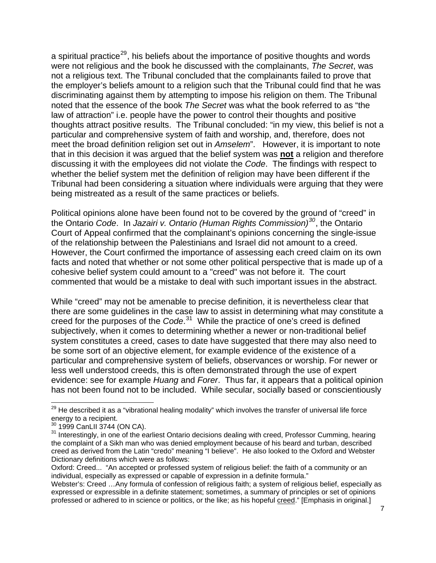a spiritual practice<sup>[29](#page-6-0)</sup>, his beliefs about the importance of positive thoughts and words were not religious and the book he discussed with the complainants, *The Secret*, was not a religious text. The Tribunal concluded that the complainants failed to prove that the employer's beliefs amount to a religion such that the Tribunal could find that he was discriminating against them by attempting to impose his religion on them. The Tribunal noted that the essence of the book *The Secret* was what the book referred to as "the law of attraction" i.e. people have the power to control their thoughts and positive thoughts attract positive results. The Tribunal concluded: "in my view, this belief is not a particular and comprehensive system of faith and worship, and, therefore, does not meet the broad definition religion set out in *Amselem*". However, it is important to note that in this decision it was argued that the belief system was **not** a religion and therefore discussing it with the employees did not violate the *Code*. The findings with respect to whether the belief system met the definition of religion may have been different if the Tribunal had been considering a situation where individuals were arguing that they were being mistreated as a result of the same practices or beliefs.

Political opinions alone have been found not to be covered by the ground of "creed" in the Ontario *Code*. In *Jazairi v. Ontario (Human Rights Commission)[30](#page-6-1)*, the Ontario Court of Appeal confirmed that the complainant's opinions concerning the single-issue of the relationship between the Palestinians and Israel did not amount to a creed. However, the Court confirmed the importance of assessing each creed claim on its own facts and noted that whether or not some other political perspective that is made up of a cohesive belief system could amount to a "creed" was not before it. The court commented that would be a mistake to deal with such important issues in the abstract.

While "creed" may not be amenable to precise definition, it is nevertheless clear that there are some guidelines in the case law to assist in determining what may constitute a creed for the purposes of the *Code*. [31](#page-6-2) While the practice of one's creed is defined subjectively, when it comes to determining whether a newer or non-traditional belief system constitutes a creed, cases to date have suggested that there may also need to be some sort of an objective element, for example evidence of the existence of a particular and comprehensive system of beliefs, observances or worship. For newer or less well understood creeds, this is often demonstrated through the use of expert evidence: see for example *Huang* and *Forer*. Thus far, it appears that a political opinion has not been found not to be included. While secular, socially based or conscientiously

<span id="page-6-0"></span>  $29$  He described it as a "vibrational healing modality" which involves the transfer of universal life force energy to a recipient.<br><sup>30</sup> 1999 CanLII 3744 (ON CA).

<span id="page-6-2"></span><span id="page-6-1"></span><sup>&</sup>lt;sup>31</sup> Interestingly, in one of the earliest Ontario decisions dealing with creed, Professor Cumming, hearing the complaint of a Sikh man who was denied employment because of his beard and turban, described creed as derived from the Latin "credo" meaning "I believe". He also looked to the Oxford and Webster Dictionary definitions which were as follows:

Oxford: Creed... "An accepted or professed system of religious belief: the faith of a community or an individual, especially as expressed or capable of expression in a definite formula."

Webster's: Creed …Any formula of confession of religious faith; a system of religious belief, especially as expressed or expressible in a definite statement; sometimes, a summary of principles or set of opinions professed or adhered to in science or politics, or the like; as his hopeful creed." [Emphasis in original.]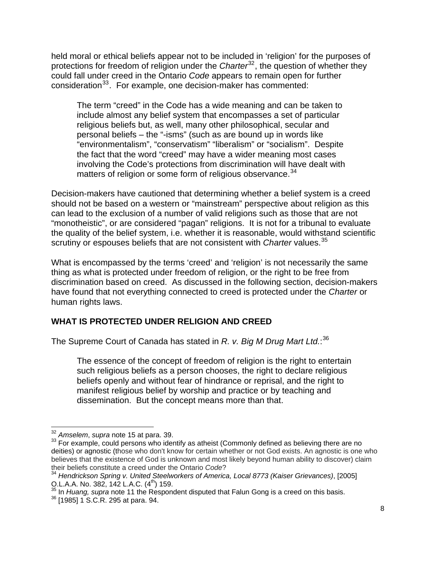held moral or ethical beliefs appear not to be included in 'religion' for the purposes of protections for freedom of religion under the *Charter*<sup>[32](#page-7-0)</sup>, the question of whether they could fall under creed in the Ontario *Code* appears to remain open for further consideration<sup>[33](#page-7-1)</sup>. For example, one decision-maker has commented:

The term "creed" in the Code has a wide meaning and can be taken to include almost any belief system that encompasses a set of particular religious beliefs but, as well, many other philosophical, secular and personal beliefs – the "-isms" (such as are bound up in words like "environmentalism", "conservatism" "liberalism" or "socialism". Despite the fact that the word "creed" may have a wider meaning most cases involving the Code's protections from discrimination will have dealt with matters of religion or some form of religious observance.<sup>[34](#page-7-2)</sup>

Decision-makers have cautioned that determining whether a belief system is a creed should not be based on a western or "mainstream" perspective about religion as this can lead to the exclusion of a number of valid religions such as those that are not "monotheistic", or are considered "pagan" religions. It is not for a tribunal to evaluate the quality of the belief system, i.e. whether it is reasonable, would withstand scientific scrutiny or espouses beliefs that are not consistent with *Charter* values.[35](#page-7-3)

What is encompassed by the terms 'creed' and 'religion' is not necessarily the same thing as what is protected under freedom of religion, or the right to be free from discrimination based on creed. As discussed in the following section, decision-makers have found that not everything connected to creed is protected under the *Charter* or human rights laws.

### **WHAT IS PROTECTED UNDER RELIGION AND CREED**

The Supreme Court of Canada has stated in *R. v. Big M Drug Mart Ltd.*: [36](#page-7-4)

The essence of the concept of freedom of religion is the right to entertain such religious beliefs as a person chooses, the right to declare religious beliefs openly and without fear of hindrance or reprisal, and the right to manifest religious belief by worship and practice or by teaching and dissemination. But the concept means more than that.

<span id="page-7-1"></span><span id="page-7-0"></span><sup>&</sup>lt;sup>32</sup> A*mselem*, *supra* note 15 at para. 39.<br><sup>33</sup> For example, could persons who identify as atheist (Commonly defined as believing there are no deities) or agnostic (those who don't know for certain whether or not God exists. An agnostic is one who believes that the existence of God is unknown and most likely beyond human ability to discover) claim their beliefs constitute a creed under the Ontario *Code*?

<sup>34</sup> *Hendrickson Spring v. United Steelworkers of America, Local 8773 (Kaiser Grievances)*, [2005]

<span id="page-7-3"></span><span id="page-7-2"></span>O.L.A.A. No. 382, 142 L.A.C. (4<sup>th</sup>) 159.<br><sup>35</sup> In *Huang, supra* note 11 the Respondent disputed that Falun Gong is a creed on this basis.<br><sup>36</sup> [1985] 1 S.C.R. 295 at para. 94.

<span id="page-7-4"></span>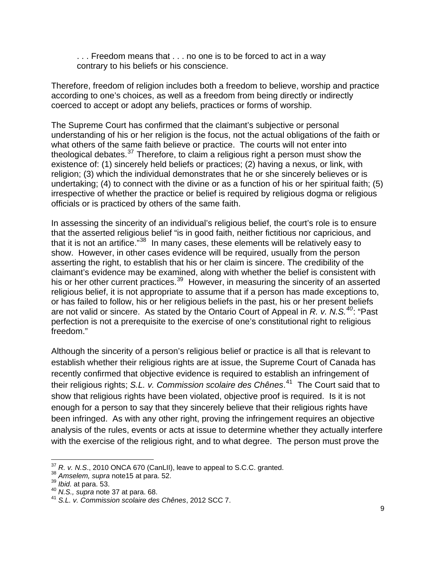... Freedom means that ... no one is to be forced to act in a way contrary to his beliefs or his conscience.

Therefore, freedom of religion includes both a freedom to believe, worship and practice according to one's choices, as well as a freedom from being directly or indirectly coerced to accept or adopt any beliefs, practices or forms of worship.

The Supreme Court has confirmed that the claimant's subjective or personal understanding of his or her religion is the focus, not the actual obligations of the faith or what others of the same faith believe or practice. The courts will not enter into theological debates.[37](#page-8-0) Therefore, to claim a religious right a person must show the existence of: (1) sincerely held beliefs or practices; (2) having a nexus, or link, with religion; (3) which the individual demonstrates that he or she sincerely believes or is undertaking; (4) to connect with the divine or as a function of his or her spiritual faith; (5) irrespective of whether the practice or belief is required by religious dogma or religious officials or is practiced by others of the same faith.

In assessing the sincerity of an individual's religious belief, the court's role is to ensure that the asserted religious belief "is in good faith, neither fictitious nor capricious, and that it is not an artifice."<sup>[38](#page-8-1)</sup> In many cases, these elements will be relatively easy to show. However, in other cases evidence will be required, usually from the person asserting the right, to establish that his or her claim is sincere. The credibility of the claimant's evidence may be examined, along with whether the belief is consistent with his or her other current practices.<sup>[39](#page-8-2)</sup> However, in measuring the sincerity of an asserted religious belief, it is not appropriate to assume that if a person has made exceptions to, or has failed to follow, his or her religious beliefs in the past, his or her present beliefs are not valid or sincere. As stated by the Ontario Court of Appeal in *R. v. N.S.[40](#page-8-3)*: "Past perfection is not a prerequisite to the exercise of one's constitutional right to religious freedom."

Although the sincerity of a person's religious belief or practice is all that is relevant to establish whether their religious rights are at issue, the Supreme Court of Canada has recently confirmed that objective evidence is required to establish an infringement of their religious rights; *S.L. v. Commission scolaire des Chênes*. [41](#page-8-4) The Court said that to show that religious rights have been violated, objective proof is required. Is it is not enough for a person to say that they sincerely believe that their religious rights have been infringed. As with any other right, proving the infringement requires an objective analysis of the rules, events or acts at issue to determine whether they actually interfere with the exercise of the religious right, and to what degree. The person must prove the

<u> 1989 - Andrea Stadt Britain, amerikansk politik (</u>

<span id="page-8-0"></span><sup>&</sup>lt;sup>37</sup> R. v. N.S., 2010 ONCA 670 (CanLII), leave to appeal to S.C.C. granted.<br><sup>38</sup> Amselem, supra note15 at para. 52.<br><sup>39</sup> Ibid. at para. 53.<br><sup>40</sup> N.S., supra note 37 at para. 68.<br><sup>41</sup> S.L. v. Commission scolaire des Chênes

<span id="page-8-1"></span>

<span id="page-8-2"></span>

<span id="page-8-3"></span>

<span id="page-8-4"></span>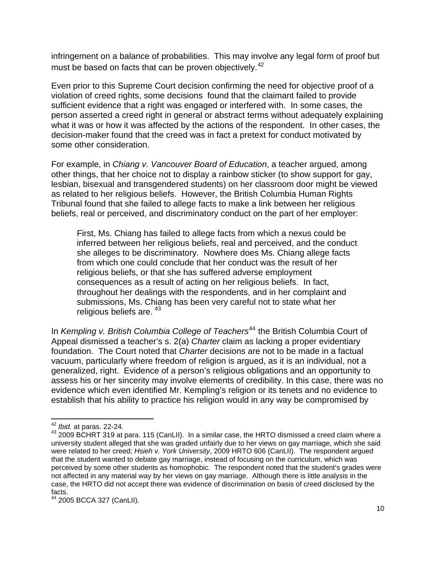infringement on a balance of probabilities. This may involve any legal form of proof but must be based on facts that can be proven objectively.<sup>[42](#page-9-0)</sup>

Even prior to this Supreme Court decision confirming the need for objective proof of a violation of creed rights, some decisions found that the claimant failed to provide sufficient evidence that a right was engaged or interfered with. In some cases, the person asserted a creed right in general or abstract terms without adequately explaining what it was or how it was affected by the actions of the respondent. In other cases, the decision-maker found that the creed was in fact a pretext for conduct motivated by some other consideration.

For example, in *Chiang v. Vancouver Board of Education*, a teacher argued, among other things, that her choice not to display a rainbow sticker (to show support for gay, lesbian, bisexual and transgendered students) on her classroom door might be viewed as related to her religious beliefs. However, the British Columbia Human Rights Tribunal found that she failed to allege facts to make a link between her religious beliefs, real or perceived, and discriminatory conduct on the part of her employer:

First, Ms. Chiang has failed to allege facts from which a nexus could be inferred between her religious beliefs, real and perceived, and the conduct she alleges to be discriminatory. Nowhere does Ms. Chiang allege facts from which one could conclude that her conduct was the result of her religious beliefs, or that she has suffered adverse employment consequences as a result of acting on her religious beliefs. In fact, throughout her dealings with the respondents, and in her complaint and submissions, Ms. Chiang has been very careful not to state what her religious beliefs are.  $43$ 

In *Kempling v. British Columbia College of Teachers<sup>[44](#page-9-2)</sup>* the British Columbia Court of Appeal dismissed a teacher's s. 2(a) *Charter* claim as lacking a proper evidentiary foundation. The Court noted that *Charter* decisions are not to be made in a factual vacuum, particularly where freedom of religion is argued, as it is an individual, not a generalized, right. Evidence of a person's religious obligations and an opportunity to assess his or her sincerity may involve elements of credibility. In this case, there was no evidence which even identified Mr. Kempling's religion or its tenets and no evidence to establish that his ability to practice his religion would in any way be compromised by

<span id="page-9-0"></span> $42$  lbid. at paras. 22-24.

<span id="page-9-1"></span><sup>&</sup>lt;sup>43</sup> 2009 BCHRT 319 at para. 115 (CanLII). In a similar case, the HRTO dismissed a creed claim where a university student alleged that she was graded unfairly due to her views on gay marriage, which she said were related to her creed; *Hsieh v. York University*, 2009 HRTO 606 (CanLII). The respondent argued that the student wanted to debate gay marriage, instead of focusing on the curriculum, which was perceived by some other students as homophobic. The respondent noted that the student's grades were not affected in any material way by her views on gay marriage. Although there is little analysis in the case, the HRTO did not accept there was evidence of discrimination on basis of creed disclosed by the facts.

<span id="page-9-2"></span><sup>&</sup>lt;sup>44</sup> 2005 BCCA 327 (CanLII).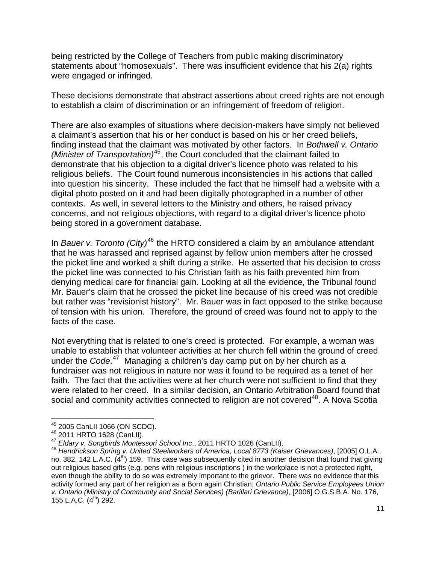being restricted by the College of Teachers from public making discriminatory statements about "homosexuals". There was insufficient evidence that his 2(a) rights were engaged or infringed.

These decisions demonstrate that abstract assertions about creed rights are not enough to establish a claim of discrimination or an infringement of freedom of religion.

There are also examples of situations where decision-makers have simply not believed a claimant's assertion that his or her conduct is based on his or her creed beliefs, finding instead that the claimant was motivated by other factors. In *Bothwell v. Ontario (Minister of Transportation)*[45](#page-10-0), the Court concluded that the claimant failed to demonstrate that his objection to a digital driver's licence photo was related to his religious beliefs. The Court found numerous inconsistencies in his actions that called into question his sincerity. These included the fact that he himself had a website with a digital photo posted on it and had been digitally photographed in a number of other contexts. As well, in several letters to the Ministry and others, he raised privacy concerns, and not religious objections, with regard to a digital driver's licence photo being stored in a government database.

In *Bauer v. Toronto (City)*[46](#page-10-1) the HRTO considered a claim by an ambulance attendant that he was harassed and reprised against by fellow union members after he crossed the picket line and worked a shift during a strike. He asserted that his decision to cross the picket line was connected to his Christian faith as his faith prevented him from denying medical care for financial gain. Looking at all the evidence, the Tribunal found Mr. Bauer's claim that he crossed the picket line because of his creed was not credible but rather was "revisionist history". Mr. Bauer was in fact opposed to the strike because of tension with his union. Therefore, the ground of creed was found not to apply to the facts of the case.

Not everything that is related to one's creed is protected. For example, a woman was unable to establish that volunteer activities at her church fell within the ground of creed under the *Code*. [47](#page-10-2) Managing a children's day camp put on by her church as a fundraiser was not religious in nature nor was it found to be required as a tenet of her faith. The fact that the activities were at her church were not sufficient to find that they were related to her creed. In a similar decision, an Ontario Arbitration Board found that social and community activities connected to religion are not covered<sup>[48](#page-10-3)</sup>. A Nova Scotia

<sup>&</sup>lt;sup>45</sup> 2005 CanLII 1066 (ON SCDC).

<span id="page-10-3"></span>

<span id="page-10-2"></span><span id="page-10-1"></span><span id="page-10-0"></span><sup>46&</sup>lt;br>
47 Eldary v. Songbirds Montessori School Inc., 2011 HRTO 1026 (CanLII).<br>
47 Eldary v. Songbirds Montessori School Inc., 2011 HRTO 1026 (CanLII).<br>
48 Hendrickson Spring v. United Steelworkers of America, Local 8773 (Kai no. 382, 142 L.A.C.  $(4^{th})$  159. This case was subsequently cited in another decision that found that giving out religious based gifts (e.g. pens with religious inscriptions ) in the workplace is not a protected right, even though the ability to do so was extremely important to the grievor. There was no evidence that this activity formed any part of her religion as a Born again Christian; *Ontario Public Service Employees Union v. Ontario (Ministry of Community and Social Services) (Barillari Grievance)*, [2006] O.G.S.B.A. No. 176, 155 L.A.C.  $(4^{th})$  292.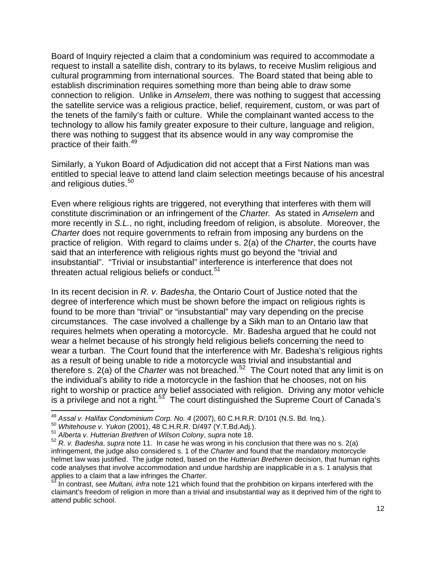Board of Inquiry rejected a claim that a condominium was required to accommodate a request to install a satellite dish, contrary to its bylaws, to receive Muslim religious and cultural programming from international sources. The Board stated that being able to establish discrimination requires something more than being able to draw some connection to religion. Unlike in *Amselem*, there was nothing to suggest that accessing the satellite service was a religious practice, belief, requirement, custom, or was part of the tenets of the family's faith or culture. While the complainant wanted access to the technology to allow his family greater exposure to their culture, language and religion, there was nothing to suggest that its absence would in any way compromise the practice of their faith.<sup>[49](#page-11-0)</sup>

Similarly, a Yukon Board of Adjudication did not accept that a First Nations man was entitled to special leave to attend land claim selection meetings because of his ancestral and religious duties.<sup>[50](#page-11-1)</sup>

Even where religious rights are triggered, not everything that interferes with them will constitute discrimination or an infringement of the *Charter.* As stated in *Amselem* and more recently in *S.L.*, no right, including freedom of religion, is absolute. Moreover, the *Charter* does not require governments to refrain from imposing any burdens on the practice of religion. With regard to claims under s. 2(a) of the *Charter*, the courts have said that an interference with religious rights must go beyond the "trivial and insubstantial". "Trivial or insubstantial" interference is interference that does not threaten actual religious beliefs or conduct. $51$ 

In its recent decision in *R. v. Badesha*, the Ontario Court of Justice noted that the degree of interference which must be shown before the impact on religious rights is found to be more than "trivial" or "insubstantial" may vary depending on the precise circumstances. The case involved a challenge by a Sikh man to an Ontario law that requires helmets when operating a motorcycle. Mr. Badesha argued that he could not wear a helmet because of his strongly held religious beliefs concerning the need to wear a turban. The Court found that the interference with Mr. Badesha's religious rights as a result of being unable to ride a motorcycle was trivial and insubstantial and therefore s. 2(a) of the *Charter* was not breached.[52](#page-11-3) The Court noted that any limit is on the individual's ability to ride a motorcycle in the fashion that he chooses, not on his right to worship or practice any belief associated with religion. Driving any motor vehicle is a privilege and not a right.<sup>[53](#page-11-4)</sup> The court distinguished the Supreme Court of Canada's

<sup>&</sup>lt;u> 1980 - Andrea Albert III, martin am Franca</u> <sup>49</sup> Assal v. Halifax Condominium Corp. No. 4 (2007), 60 C.H.R.R. D/101 (N.S. Bd. Inq.).<br><sup>50</sup> Whitehouse v. Yukon (2001), 48 C.H.R.R. D/497 (Y.T.Bd.Adj.).<br><sup>51</sup> Alberta v. Hutterian Brethren of Wilson Colony, supra note 18.

<span id="page-11-0"></span>

<span id="page-11-3"></span><span id="page-11-2"></span><span id="page-11-1"></span><sup>&</sup>lt;sup>51</sup> Alberta v. Hutterian Brethren of Wilson Colony, supra note 18.<br><sup>52</sup> R. v. Badesha, supra note 11. In case he was wrong in his conclusion that there was no s. 2(a) infringement, the judge also considered s. 1 of the *Charter* and found that the mandatory motorcycle helmet law was justified. The judge noted, based on the *Hutterian Bretheren* decision, that human rights code analyses that involve accommodation and undue hardship are inapplicable in a s. 1 analysis that applies to a claim that a law infringes the *Charter*.<br><sup>53</sup> In contrast, see *Multani, infra* note 121 which found that the prohibition on kirpans interfered with the

<span id="page-11-4"></span>claimant's freedom of religion in more than a trivial and insubstantial way as it deprived him of the right to attend public school.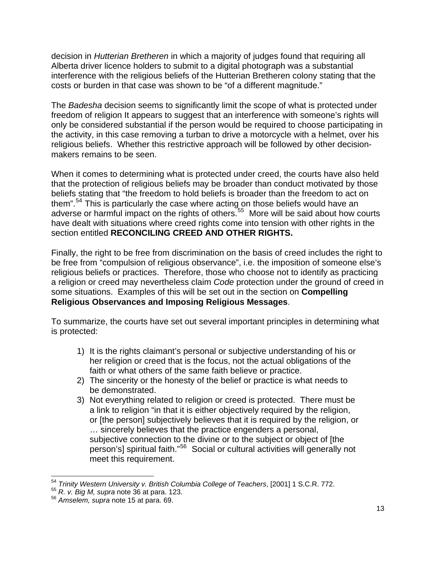decision in *Hutterian Bretheren* in which a majority of judges found that requiring all Alberta driver licence holders to submit to a digital photograph was a substantial interference with the religious beliefs of the Hutterian Bretheren colony stating that the costs or burden in that case was shown to be "of a different magnitude."

The *Badesha* decision seems to significantly limit the scope of what is protected under freedom of religion It appears to suggest that an interference with someone's rights will only be considered substantial if the person would be required to choose participating in the activity, in this case removing a turban to drive a motorcycle with a helmet, over his religious beliefs. Whether this restrictive approach will be followed by other decisionmakers remains to be seen.

When it comes to determining what is protected under creed, the courts have also held that the protection of religious beliefs may be broader than conduct motivated by those beliefs stating that "the freedom to hold beliefs is broader than the freedom to act on them".<sup>[54](#page-12-0)</sup> This is particularly the case where acting on those beliefs would have an adverse or harmful impact on the rights of others.<sup>[55](#page-12-1)</sup> More will be said about how courts have dealt with situations where creed rights come into tension with other rights in the section entitled **RECONCILING CREED AND OTHER RIGHTS.**

Finally, the right to be free from discrimination on the basis of creed includes the right to be free from "compulsion of religious observance", i.e. the imposition of someone else's religious beliefs or practices. Therefore, those who choose not to identify as practicing a religion or creed may nevertheless claim *Code* protection under the ground of creed in some situations. Examples of this will be set out in the section on **Compelling Religious Observances and Imposing Religious Messages**.

To summarize, the courts have set out several important principles in determining what is protected:

- 1) It is the rights claimant's personal or subjective understanding of his or her religion or creed that is the focus, not the actual obligations of the faith or what others of the same faith believe or practice.
- 2) The sincerity or the honesty of the belief or practice is what needs to be demonstrated.
- 3) Not everything related to religion or creed is protected. There must be a link to religion "in that it is either objectively required by the religion, or [the person] subjectively believes that it is required by the religion, or … sincerely believes that the practice engenders a personal, subjective connection to the divine or to the subject or object of [the person's] spiritual faith."[56](#page-12-2) Social or cultural activities will generally not meet this requirement.

 <sup>54</sup> *Trinity Western University v. British Columbia College of Teachers*, [2001] 1 S.C.R. 772.

<span id="page-12-2"></span><span id="page-12-1"></span><span id="page-12-0"></span><sup>55</sup> *R. v. Big M, supra* note 36 at para. 123. 56 *Amselem, supra* note 15 at para. 69.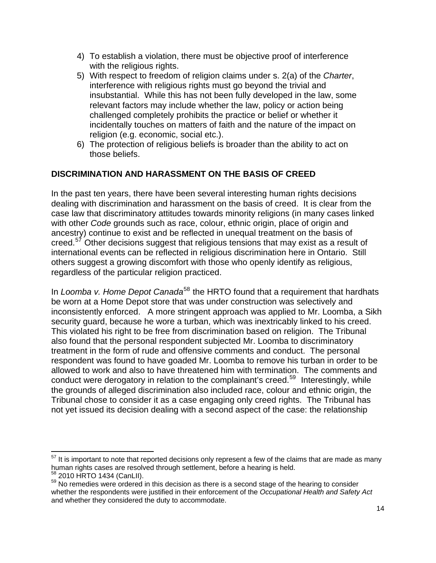- 4) To establish a violation, there must be objective proof of interference with the religious rights.
- 5) With respect to freedom of religion claims under s. 2(a) of the *Charter*, interference with religious rights must go beyond the trivial and insubstantial. While this has not been fully developed in the law, some relevant factors may include whether the law, policy or action being challenged completely prohibits the practice or belief or whether it incidentally touches on matters of faith and the nature of the impact on religion (e.g. economic, social etc.).
- 6) The protection of religious beliefs is broader than the ability to act on those beliefs.

## **DISCRIMINATION AND HARASSMENT ON THE BASIS OF CREED**

In the past ten years, there have been several interesting human rights decisions dealing with discrimination and harassment on the basis of creed. It is clear from the case law that discriminatory attitudes towards minority religions (in many cases linked with other *Code* grounds such as race, colour, ethnic origin, place of origin and ancestry) continue to exist and be reflected in unequal treatment on the basis of creed.<sup>[57](#page-13-0)</sup> Other decisions suggest that religious tensions that may exist as a result of international events can be reflected in religious discrimination here in Ontario. Still others suggest a growing discomfort with those who openly identify as religious, regardless of the particular religion practiced.

In *Loomba v. Home Depot Canada*<sup>[58](#page-13-1)</sup> the HRTO found that a requirement that hardhats be worn at a Home Depot store that was under construction was selectively and inconsistently enforced. A more stringent approach was applied to Mr. Loomba, a Sikh security guard, because he wore a turban, which was inextricably linked to his creed. This violated his right to be free from discrimination based on religion. The Tribunal also found that the personal respondent subjected Mr. Loomba to discriminatory treatment in the form of rude and offensive comments and conduct. The personal respondent was found to have goaded Mr. Loomba to remove his turban in order to be allowed to work and also to have threatened him with termination. The comments and conduct were derogatory in relation to the complainant's creed.<sup>[59](#page-13-2)</sup> Interestingly, while the grounds of alleged discrimination also included race, colour and ethnic origin, the Tribunal chose to consider it as a case engaging only creed rights. The Tribunal has not yet issued its decision dealing with a second aspect of the case: the relationship

<span id="page-13-0"></span>  $57$  It is important to note that reported decisions only represent a few of the claims that are made as many human rights cases are resolved through settlement, before a hearing is held.<br><sup>58</sup> 2010 HRTO 1434 (CanLII).

<span id="page-13-2"></span><span id="page-13-1"></span> $59$  No remedies were ordered in this decision as there is a second stage of the hearing to consider whether the respondents were justified in their enforcement of the *Occupational Health and Safety Act* and whether they considered the duty to accommodate.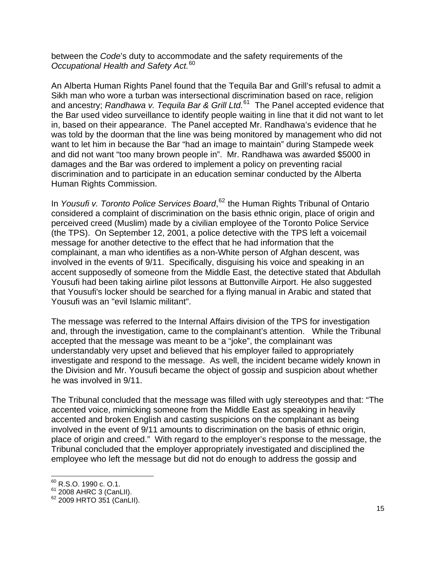between the *Code*'s duty to accommodate and the safety requirements of the *Occupational Health and Safety Act.*[60](#page-14-0)

An Alberta Human Rights Panel found that the Tequila Bar and Grill's refusal to admit a Sikh man who wore a turban was intersectional discrimination based on race, religion and ancestry; *Randhawa v. Tequila Bar & Grill Ltd.*<sup>[61](#page-14-1)</sup> The Panel accepted evidence that the Bar used video surveillance to identify people waiting in line that it did not want to let in, based on their appearance. The Panel accepted Mr. Randhawa's evidence that he was told by the doorman that the line was being monitored by management who did not want to let him in because the Bar "had an image to maintain" during Stampede week and did not want "too many brown people in". Mr. Randhawa was awarded \$5000 in damages and the Bar was ordered to implement a policy on preventing racial discrimination and to participate in an education seminar conducted by the Alberta Human Rights Commission.

In *Yousufi v. Toronto Police Services Board*, [62](#page-14-2) the Human Rights Tribunal of Ontario considered a complaint of discrimination on the basis ethnic origin, place of origin and perceived creed (Muslim) made by a civilian employee of the Toronto Police Service (the TPS). On September 12, 2001, a police detective with the TPS left a voicemail message for another detective to the effect that he had information that the complainant, a man who identifies as a non-White person of Afghan descent, was involved in the events of 9/11. Specifically, disguising his voice and speaking in an accent supposedly of someone from the Middle East, the detective stated that Abdullah Yousufi had been taking airline pilot lessons at Buttonville Airport. He also suggested that Yousufi's locker should be searched for a flying manual in Arabic and stated that Yousufi was an "evil Islamic militant".

The message was referred to the Internal Affairs division of the TPS for investigation and, through the investigation, came to the complainant's attention. While the Tribunal accepted that the message was meant to be a "joke", the complainant was understandably very upset and believed that his employer failed to appropriately investigate and respond to the message. As well, the incident became widely known in the Division and Mr. Yousufi became the object of gossip and suspicion about whether he was involved in 9/11.

The Tribunal concluded that the message was filled with ugly stereotypes and that: "The accented voice, mimicking someone from the Middle East as speaking in heavily accented and broken English and casting suspicions on the complainant as being involved in the event of 9/11 amounts to discrimination on the basis of ethnic origin, place of origin and creed." With regard to the employer's response to the message, the Tribunal concluded that the employer appropriately investigated and disciplined the employee who left the message but did not do enough to address the gossip and

  $^{60}$  R.S.O. 1990 c. O.1.

<span id="page-14-2"></span><span id="page-14-1"></span><span id="page-14-0"></span><sup>&</sup>lt;sup>61</sup> 2008 AHRC 3 (CanLII).<br><sup>62</sup> 2009 HRTO 351 (CanLII).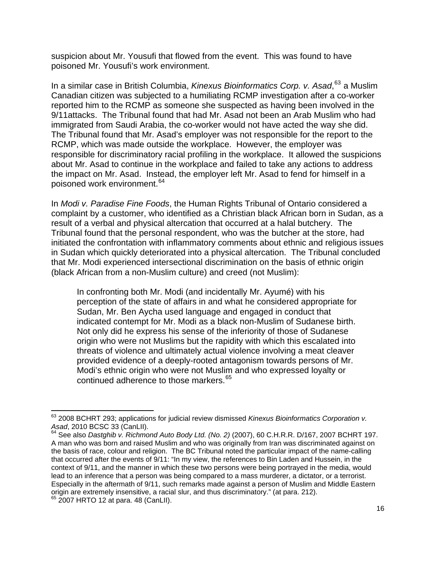suspicion about Mr. Yousufi that flowed from the event. This was found to have poisoned Mr. Yousufi's work environment.

In a similar case in British Columbia, *Kinexus Bioinformatics Corp. v. Asad*, [63](#page-15-0) a Muslim Canadian citizen was subjected to a humiliating RCMP investigation after a co-worker reported him to the RCMP as someone she suspected as having been involved in the 9/11attacks. The Tribunal found that had Mr. Asad not been an Arab Muslim who had immigrated from Saudi Arabia, the co-worker would not have acted the way she did. The Tribunal found that Mr. Asad's employer was not responsible for the report to the RCMP, which was made outside the workplace. However, the employer was responsible for discriminatory racial profiling in the workplace. It allowed the suspicions about Mr. Asad to continue in the workplace and failed to take any actions to address the impact on Mr. Asad. Instead, the employer left Mr. Asad to fend for himself in a poisoned work environment.<sup>[64](#page-15-1)</sup>

In *Modi v. Paradise Fine Foods*, the Human Rights Tribunal of Ontario considered a complaint by a customer, who identified as a Christian black African born in Sudan, as a result of a verbal and physical altercation that occurred at a halal butchery. The Tribunal found that the personal respondent, who was the butcher at the store, had initiated the confrontation with inflammatory comments about ethnic and religious issues in Sudan which quickly deteriorated into a physical altercation. The Tribunal concluded that Mr. Modi experienced intersectional discrimination on the basis of ethnic origin (black African from a non-Muslim culture) and creed (not Muslim):

In confronting both Mr. Modi (and incidentally Mr. Ayumé) with his perception of the state of affairs in and what he considered appropriate for Sudan, Mr. Ben Aycha used language and engaged in conduct that indicated contempt for Mr. Modi as a black non-Muslim of Sudanese birth. Not only did he express his sense of the inferiority of those of Sudanese origin who were not Muslims but the rapidity with which this escalated into threats of violence and ultimately actual violence involving a meat cleaver provided evidence of a deeply-rooted antagonism towards persons of Mr. Modi's ethnic origin who were not Muslim and who expressed loyalty or continued adherence to those markers.<sup>[65](#page-15-2)</sup>

<span id="page-15-0"></span><sup>&</sup>lt;u> 1980 - Andrea Albert III, martin am Franca</u> 63 2008 BCHRT 293; applications for judicial review dismissed *Kinexus Bioinformatics Corporation v. Asad*, 2010 BCSC 33 (CanLII).<br><sup>64</sup> See also *Dastghib v. Richmond Auto Body Ltd. (No. 2)* (2007), 60 C.H.R.R. D/167, 2007 BCHRT 197.

<span id="page-15-2"></span><span id="page-15-1"></span>A man who was born and raised Muslim and who was originally from Iran was discriminated against on the basis of race, colour and religion. The BC Tribunal noted the particular impact of the name-calling that occurred after the events of 9/11: "In my view, the references to Bin Laden and Hussein, in the context of 9/11, and the manner in which these two persons were being portrayed in the media, would lead to an inference that a person was being compared to a mass murderer, a dictator, or a terrorist. Especially in the aftermath of 9/11, such remarks made against a person of Muslim and Middle Eastern origin are extremely insensitive, a racial slur, and thus discriminatory." (at para. 212).<br><sup>65</sup> 2007 HRTO 12 at para. 48 (CanLII).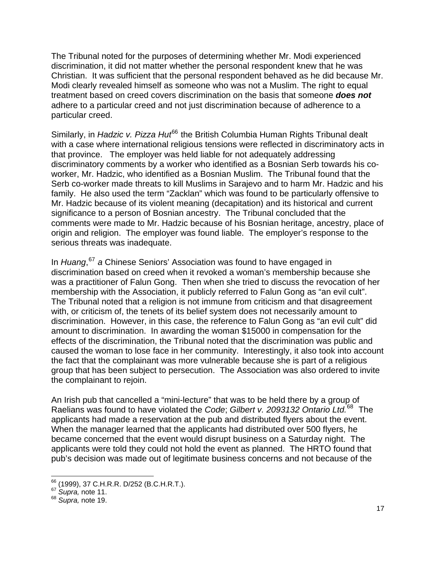The Tribunal noted for the purposes of determining whether Mr. Modi experienced discrimination, it did not matter whether the personal respondent knew that he was Christian. It was sufficient that the personal respondent behaved as he did because Mr. Modi clearly revealed himself as someone who was not a Muslim. The right to equal treatment based on creed covers discrimination on the basis that someone *does not* adhere to a particular creed and not just discrimination because of adherence to a particular creed.

Similarly, in *Hadzic v. Pizza Hut*<sup>[66](#page-16-0)</sup> the British Columbia Human Rights Tribunal dealt with a case where international religious tensions were reflected in discriminatory acts in that province. The employer was held liable for not adequately addressing discriminatory comments by a worker who identified as a Bosnian Serb towards his coworker, Mr. Hadzic, who identified as a Bosnian Muslim. The Tribunal found that the Serb co-worker made threats to kill Muslims in Sarajevo and to harm Mr. Hadzic and his family. He also used the term "Zacklan" which was found to be particularly offensive to Mr. Hadzic because of its violent meaning (decapitation) and its historical and current significance to a person of Bosnian ancestry. The Tribunal concluded that the comments were made to Mr. Hadzic because of his Bosnian heritage, ancestry, place of origin and religion. The employer was found liable. The employer's response to the serious threats was inadequate.

In *Huang*, [67](#page-16-1) *a* Chinese Seniors' Association was found to have engaged in discrimination based on creed when it revoked a woman's membership because she was a practitioner of Falun Gong. Then when she tried to discuss the revocation of her membership with the Association, it publicly referred to Falun Gong as "an evil cult". The Tribunal noted that a religion is not immune from criticism and that disagreement with, or criticism of, the tenets of its belief system does not necessarily amount to discrimination. However, in this case, the reference to Falun Gong as "an evil cult" did amount to discrimination. In awarding the woman \$15000 in compensation for the effects of the discrimination, the Tribunal noted that the discrimination was public and caused the woman to lose face in her community. Interestingly, it also took into account the fact that the complainant was more vulnerable because she is part of a religious group that has been subject to persecution. The Association was also ordered to invite the complainant to rejoin.

An Irish pub that cancelled a "mini-lecture" that was to be held there by a group of Raelians was found to have violated the *Code*; *Gilbert v. 2093132 Ontario Ltd.*[68](#page-16-2) The applicants had made a reservation at the pub and distributed flyers about the event. When the manager learned that the applicants had distributed over 500 flyers, he became concerned that the event would disrupt business on a Saturday night. The applicants were told they could not hold the event as planned. The HRTO found that pub's decision was made out of legitimate business concerns and not because of the

 <sup>66</sup> (1999), 37 C.H.R.R. D/252 (B.C.H.R.T.).<br><sup>67</sup> *Supra,* note 11.

<span id="page-16-2"></span><span id="page-16-1"></span><span id="page-16-0"></span><sup>&</sup>lt;sup>67</sup> *Supra*, note 11.<br><sup>68</sup> *Supra*, note 19.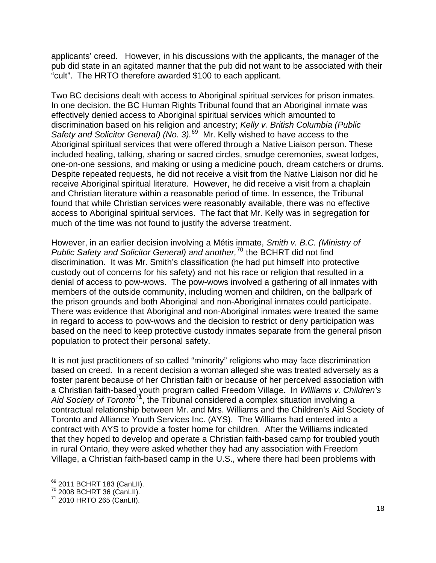applicants' creed. However, in his discussions with the applicants, the manager of the pub did state in an agitated manner that the pub did not want to be associated with their "cult". The HRTO therefore awarded \$100 to each applicant.

Two BC decisions dealt with access to Aboriginal spiritual services for prison inmates. In one decision, the BC Human Rights Tribunal found that an Aboriginal inmate was effectively denied access to Aboriginal spiritual services which amounted to discrimination based on his religion and ancestry; *Kelly v. British Columbia (Public Safety and Solicitor General) (No. 3).*[69](#page-17-0) Mr. Kelly wished to have access to the Aboriginal spiritual services that were offered through a Native Liaison person. These included healing, talking, sharing or sacred circles, smudge ceremonies, sweat lodges, one-on-one sessions, and making or using a medicine pouch, dream catchers or drums. Despite repeated requests, he did not receive a visit from the Native Liaison nor did he receive Aboriginal spiritual literature. However, he did receive a visit from a chaplain and Christian literature within a reasonable period of time. In essence, the Tribunal found that while Christian services were reasonably available, there was no effective access to Aboriginal spiritual services. The fact that Mr. Kelly was in segregation for much of the time was not found to justify the adverse treatment.

However, in an earlier decision involving a Métis inmate, *Smith v. B.C. (Ministry of Public Safety and Solicitor General) and another,*[70](#page-17-1) the BCHRT did not find discrimination. It was Mr. Smith's classification (he had put himself into protective custody out of concerns for his safety) and not his race or religion that resulted in a denial of access to pow-wows. The pow-wows involved a gathering of all inmates with members of the outside community, including women and children, on the ballpark of the prison grounds and both Aboriginal and non-Aboriginal inmates could participate. There was evidence that Aboriginal and non-Aboriginal inmates were treated the same in regard to access to pow-wows and the decision to restrict or deny participation was based on the need to keep protective custody inmates separate from the general prison population to protect their personal safety.

It is not just practitioners of so called "minority" religions who may face discrimination based on creed. In a recent decision a woman alleged she was treated adversely as a foster parent because of her Christian faith or because of her perceived association with a Christian faith-based youth program called Freedom Village. In *Williams v. Children's Aid Society of Toronto*[71](#page-17-2), the Tribunal considered a complex situation involving a contractual relationship between Mr. and Mrs. Williams and the Children's Aid Society of Toronto and Alliance Youth Services Inc. (AYS). The Williams had entered into a contract with AYS to provide a foster home for children. After the Williams indicated that they hoped to develop and operate a Christian faith-based camp for troubled youth in rural Ontario, they were asked whether they had any association with Freedom Village, a Christian faith-based camp in the U.S., where there had been problems with

<sup>69 2011</sup> BCHRT 183 (CanLII).

<span id="page-17-2"></span><span id="page-17-1"></span><span id="page-17-0"></span> $\frac{70}{70}$  2008 BCHRT 36 (CanLII).<br> $\frac{71}{71}$  2010 HRTO 265 (CanLII).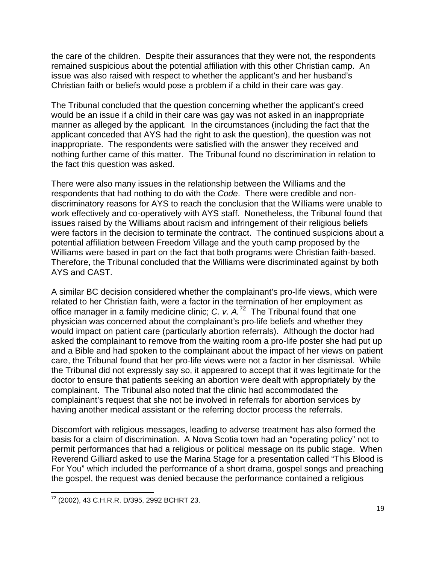the care of the children. Despite their assurances that they were not, the respondents remained suspicious about the potential affiliation with this other Christian camp. An issue was also raised with respect to whether the applicant's and her husband's Christian faith or beliefs would pose a problem if a child in their care was gay.

The Tribunal concluded that the question concerning whether the applicant's creed would be an issue if a child in their care was gay was not asked in an inappropriate manner as alleged by the applicant. In the circumstances (including the fact that the applicant conceded that AYS had the right to ask the question), the question was not inappropriate. The respondents were satisfied with the answer they received and nothing further came of this matter. The Tribunal found no discrimination in relation to the fact this question was asked.

There were also many issues in the relationship between the Williams and the respondents that had nothing to do with the *Code*. There were credible and nondiscriminatory reasons for AYS to reach the conclusion that the Williams were unable to work effectively and co-operatively with AYS staff. Nonetheless, the Tribunal found that issues raised by the Williams about racism and infringement of their religious beliefs were factors in the decision to terminate the contract. The continued suspicions about a potential affiliation between Freedom Village and the youth camp proposed by the Williams were based in part on the fact that both programs were Christian faith-based. Therefore, the Tribunal concluded that the Williams were discriminated against by both AYS and CAST.

A similar BC decision considered whether the complainant's pro-life views, which were related to her Christian faith, were a factor in the termination of her employment as office manager in a family medicine clinic; *C. v. A.*[72](#page-18-0) The Tribunal found that one physician was concerned about the complainant's pro-life beliefs and whether they would impact on patient care (particularly abortion referrals). Although the doctor had asked the complainant to remove from the waiting room a pro-life poster she had put up and a Bible and had spoken to the complainant about the impact of her views on patient care, the Tribunal found that her pro-life views were not a factor in her dismissal. While the Tribunal did not expressly say so, it appeared to accept that it was legitimate for the doctor to ensure that patients seeking an abortion were dealt with appropriately by the complainant. The Tribunal also noted that the clinic had accommodated the complainant's request that she not be involved in referrals for abortion services by having another medical assistant or the referring doctor process the referrals.

Discomfort with religious messages, leading to adverse treatment has also formed the basis for a claim of discrimination. A Nova Scotia town had an "operating policy" not to permit performances that had a religious or political message on its public stage. When Reverend Gilliard asked to use the Marina Stage for a presentation called "This Blood is For You" which included the performance of a short drama, gospel songs and preaching the gospel, the request was denied because the performance contained a religious

<span id="page-18-0"></span> <sup>72</sup> (2002), 43 C.H.R.R. D/395, 2992 BCHRT 23.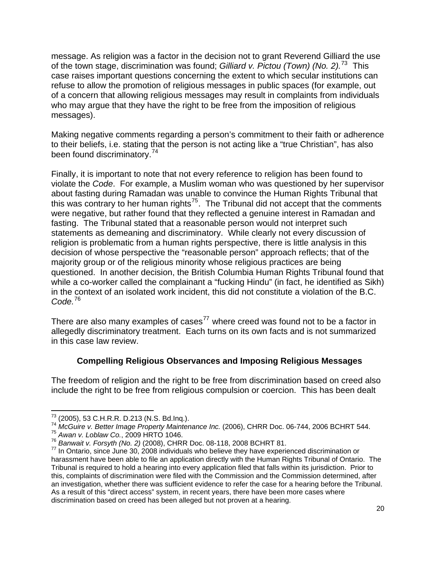message. As religion was a factor in the decision not to grant Reverend Gilliard the use of the town stage, discrimination was found; *Gilliard v. Pictou (Town) (No. 2).*[73](#page-19-0) This case raises important questions concerning the extent to which secular institutions can refuse to allow the promotion of religious messages in public spaces (for example, out of a concern that allowing religious messages may result in complaints from individuals who may argue that they have the right to be free from the imposition of religious messages).

Making negative comments regarding a person's commitment to their faith or adherence to their beliefs, i.e. stating that the person is not acting like a "true Christian", has also been found discriminatory.<sup>[74](#page-19-1)</sup>

Finally, it is important to note that not every reference to religion has been found to violate the *Code*. For example, a Muslim woman who was questioned by her supervisor about fasting during Ramadan was unable to convince the Human Rights Tribunal that this was contrary to her human rights<sup>[75](#page-19-2)</sup>. The Tribunal did not accept that the comments were negative, but rather found that they reflected a genuine interest in Ramadan and fasting. The Tribunal stated that a reasonable person would not interpret such statements as demeaning and discriminatory. While clearly not every discussion of religion is problematic from a human rights perspective, there is little analysis in this decision of whose perspective the "reasonable person" approach reflects; that of the majority group or of the religious minority whose religious practices are being questioned. In another decision, the British Columbia Human Rights Tribunal found that while a co-worker called the complainant a "fucking Hindu" (in fact, he identified as Sikh) in the context of an isolated work incident, this did not constitute a violation of the B.C. *Code.*[76](#page-19-3)

There are also many examples of cases<sup>[77](#page-19-4)</sup> where creed was found not to be a factor in allegedly discriminatory treatment. Each turns on its own facts and is not summarized in this case law review.

## **Compelling Religious Observances and Imposing Religious Messages**

The freedom of religion and the right to be free from discrimination based on creed also include the right to be free from religious compulsion or coercion. This has been dealt

<sup>73 (2005), 53</sup> C.H.R.R. D.213 (N.S. Bd.Inq.).

<span id="page-19-1"></span><span id="page-19-0"></span><sup>73 (2005), 53</sup> C.H.R.R. D.213 (N.S. Bd.Inq.). 74 *McGuire v. Better Image Property Maintenance Inc.* (2006), CHRR Doc. 06-744, 2006 BCHRT 544.

<span id="page-19-3"></span><span id="page-19-2"></span><sup>&</sup>lt;sup>75</sup> Awan v. Loblaw Co., 2009 HRTO 1046.<br><sup>76</sup> Banwait v. Forsyth (No. 2) (2008), CHRR Doc. 08-118, 2008 BCHRT 81.

<span id="page-19-4"></span><sup>&</sup>lt;sup>77</sup> In Ontario, since June 30, 2008 individuals who believe they have experienced discrimination or harassment have been able to file an application directly with the Human Rights Tribunal of Ontario. The Tribunal is required to hold a hearing into every application filed that falls within its jurisdiction. Prior to this, complaints of discrimination were filed with the Commission and the Commission determined, after an investigation, whether there was sufficient evidence to refer the case for a hearing before the Tribunal. As a result of this "direct access" system, in recent years, there have been more cases where discrimination based on creed has been alleged but not proven at a hearing.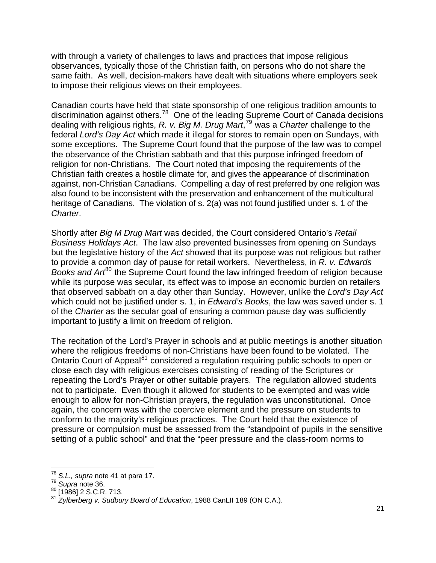with through a variety of challenges to laws and practices that impose religious observances, typically those of the Christian faith, on persons who do not share the same faith. As well, decision-makers have dealt with situations where employers seek to impose their religious views on their employees.

Canadian courts have held that state sponsorship of one religious tradition amounts to discrimination against others.[78](#page-20-0) One of the leading Supreme Court of Canada decisions dealing with religious rights, *R. v. Big M. Drug Mart*, [79](#page-20-1) was a *Charter* challenge to the federal *Lord's Day Act* which made it illegal for stores to remain open on Sundays, with some exceptions. The Supreme Court found that the purpose of the law was to compel the observance of the Christian sabbath and that this purpose infringed freedom of religion for non-Christians. The Court noted that imposing the requirements of the Christian faith creates a hostile climate for, and gives the appearance of discrimination against, non-Christian Canadians. Compelling a day of rest preferred by one religion was also found to be inconsistent with the preservation and enhancement of the multicultural heritage of Canadians. The violation of s. 2(a) was not found justified under s. 1 of the *Charter*.

Shortly after *Big M Drug Mart* was decided, the Court considered Ontario's *Retail Business Holidays Act*. The law also prevented businesses from opening on Sundays but the legislative history of the *Act* showed that its purpose was not religious but rather to provide a common day of pause for retail workers. Nevertheless, in *R. v. Edwards Books and Art*<sup>[80](#page-20-2)</sup> the Supreme Court found the law infringed freedom of religion because while its purpose was secular, its effect was to impose an economic burden on retailers that observed sabbath on a day other than Sunday. However, unlike the *Lord's Day Act* which could not be justified under s. 1, in *Edward's Books*, the law was saved under s. 1 of the *Charter* as the secular goal of ensuring a common pause day was sufficiently important to justify a limit on freedom of religion.

The recitation of the Lord's Prayer in schools and at public meetings is another situation where the religious freedoms of non-Christians have been found to be violated. The Ontario Court of Appeal<sup>[81](#page-20-3)</sup> considered a regulation requiring public schools to open or close each day with religious exercises consisting of reading of the Scriptures or repeating the Lord's Prayer or other suitable prayers. The regulation allowed students not to participate. Even though it allowed for students to be exempted and was wide enough to allow for non-Christian prayers, the regulation was unconstitutional. Once again, the concern was with the coercive element and the pressure on students to conform to the majority's religious practices. The Court held that the existence of pressure or compulsion must be assessed from the "standpoint of pupils in the sensitive setting of a public school" and that the "peer pressure and the class-room norms to

 <sup>78</sup> S*.L., supra* note 41 at para 17.<br><sup>79</sup> *Supra* note 36.

<span id="page-20-3"></span><span id="page-20-2"></span>

<span id="page-20-1"></span><span id="page-20-0"></span><sup>&</sup>lt;sup>79</sup> Supra note 36.<br><sup>80</sup> [1986] 2 S.C.R. 713.<br><sup>81</sup> Zylberberg v. Sudbury Board of Education, 1988 CanLII 189 (ON C.A.).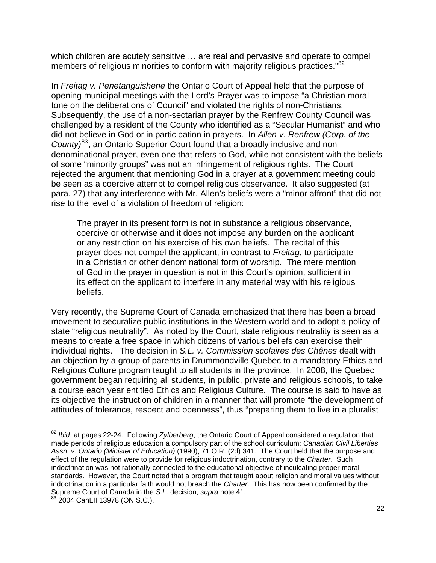which children are acutely sensitive … are real and pervasive and operate to compel members of religious minorities to conform with majority religious practices."<sup>[82](#page-21-0)</sup>

In *Freitag v. Penetanguishene* the Ontario Court of Appeal held that the purpose of opening municipal meetings with the Lord's Prayer was to impose "a Christian moral tone on the deliberations of Council" and violated the rights of non-Christians. Subsequently, the use of a non-sectarian prayer by the Renfrew County Council was challenged by a resident of the County who identified as a "Secular Humanist" and who did not believe in God or in participation in prayers. In *Allen v. Renfrew (Corp. of the County)*[83](#page-21-1), an Ontario Superior Court found that a broadly inclusive and non denominational prayer, even one that refers to God, while not consistent with the beliefs of some "minority groups" was not an infringement of religious rights. The Court rejected the argument that mentioning God in a prayer at a government meeting could be seen as a coercive attempt to compel religious observance. It also suggested (at para. 27) that any interference with Mr. Allen's beliefs were a "minor affront" that did not rise to the level of a violation of freedom of religion:

The prayer in its present form is not in substance a religious observance, coercive or otherwise and it does not impose any burden on the applicant or any restriction on his exercise of his own beliefs. The recital of this prayer does not compel the applicant, in contrast to *Freitag*, to participate in a Christian or other denominational form of worship. The mere mention of God in the prayer in question is not in this Court's opinion, sufficient in its effect on the applicant to interfere in any material way with his religious beliefs.

Very recently, the Supreme Court of Canada emphasized that there has been a broad movement to securalize public institutions in the Western world and to adopt a policy of state "religious neutrality". As noted by the Court, state religious neutrality is seen as a means to create a free space in which citizens of various beliefs can exercise their individual rights. The decision in *S.L. v. Commission scolaires des Chênes* dealt with an objection by a group of parents in Drummondville Quebec to a mandatory Ethics and Religious Culture program taught to all students in the province. In 2008, the Quebec government began requiring all students, in public, private and religious schools, to take a course each year entitled Ethics and Religious Culture. The course is said to have as its objective the instruction of children in a manner that will promote "the development of attitudes of tolerance, respect and openness", thus "preparing them to live in a pluralist

<span id="page-21-0"></span><sup>82</sup> *Ibid*. at pages 22-24. Following *Zylberberg*, the Ontario Court of Appeal considered a regulation that made periods of religious education a compulsory part of the school curriculum; *Canadian Civil Liberties Assn. v. Ontario (Minister of Education)* (1990), 71 O.R. (2d) 341. The Court held that the purpose and effect of the regulation were to provide for religious indoctrination, contrary to the *Charter*. Such indoctrination was not rationally connected to the educational objective of inculcating proper moral standards. However, the Court noted that a program that taught about religion and moral values without indoctrination in a particular faith would not breach the *Charter*. This has now been confirmed by the Supreme Court of Canada in the *S.L.* decision, *supra* note 41.

<span id="page-21-1"></span> $83$  2004 CanLII 13978 (ON S.C.).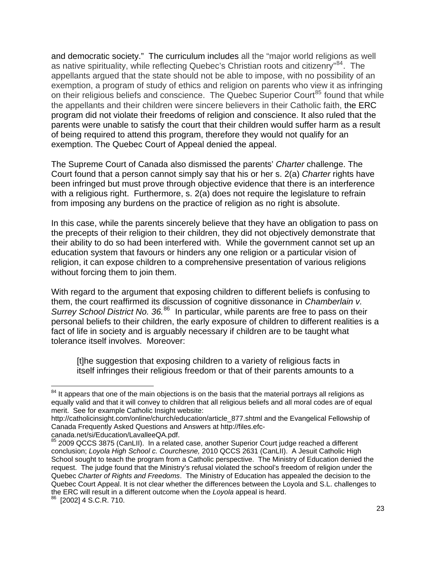and democratic society." The curriculum includes all the "major world religions as well as native spirituality, while reflecting Quebec's Christian roots and citizenry<sup>"[84](#page-22-0)</sup>. The appellants argued that the state should not be able to impose, with no possibility of an exemption, a program of study of ethics and religion on parents who view it as infringing on their religious beliefs and conscience. The Quebec Superior Court<sup>[85](#page-22-1)</sup> found that while the appellants and their children were sincere believers in their Catholic faith, the ERC program did not violate their freedoms of religion and conscience. It also ruled that the parents were unable to satisfy the court that their children would suffer harm as a result of being required to attend this program, therefore they would not qualify for an exemption. The Quebec Court of Appeal denied the appeal.

The Supreme Court of Canada also dismissed the parents' *Charter* challenge. The Court found that a person cannot simply say that his or her s. 2(a) *Charter* rights have been infringed but must prove through objective evidence that there is an interference with a religious right. Furthermore, s. 2(a) does not require the legislature to refrain from imposing any burdens on the practice of religion as no right is absolute.

In this case, while the parents sincerely believe that they have an obligation to pass on the precepts of their religion to their children, they did not objectively demonstrate that their ability to do so had been interfered with. While the government cannot set up an education system that favours or hinders any one religion or a particular vision of religion, it can expose children to a comprehensive presentation of various religions without forcing them to join them.

With regard to the argument that exposing children to different beliefs is confusing to them, the court reaffirmed its discussion of cognitive dissonance in *Chamberlain v. Surrey School District No. 36.*[86](#page-22-2) In particular, while parents are free to pass on their personal beliefs to their children, the early exposure of children to different realities is a fact of life in society and is arguably necessary if children are to be taught what tolerance itself involves. Moreover:

[t]he suggestion that exposing children to a variety of religious facts in itself infringes their religious freedom or that of their parents amounts to a

<u> 1980 - Andrea Albert III, martin am Franca</u>

<span id="page-22-0"></span> $84$  It appears that one of the main objections is on the basis that the material portrays all religions as equally valid and that it will convey to children that all religious beliefs and all moral codes are of equal merit. See for example Catholic Insight website:

http://catholicinsight.com/online/church/education/article\_877.shtml and the Evangelical Fellowship of Canada Frequently Asked Questions and Answers at http://files.efc-

canada.net/si/Education/LavalleeQA.pdf.

<span id="page-22-1"></span><sup>85 2009</sup> QCCS 3875 (CanLII). In a related case, another Superior Court judge reached a different conclusion; *Loyola High School c. Courchesne,* 2010 QCCS 2631 (CanLII). A Jesuit Catholic High School sought to teach the program from a Catholic perspective. The Ministry of Education denied the request. The judge found that the Ministry's refusal violated the school's freedom of religion under the Quebec *Charter of Rights and Freedoms*. The Ministry of Education has appealed the decision to the Quebec Court Appeal. It is not clear whether the differences between the Loyola and S.L. challenges to the ERC will result in a different outcome when the *Loyola* appeal is heard. <sup>86</sup> [2002] 4 S.C.R. 710.

<span id="page-22-2"></span>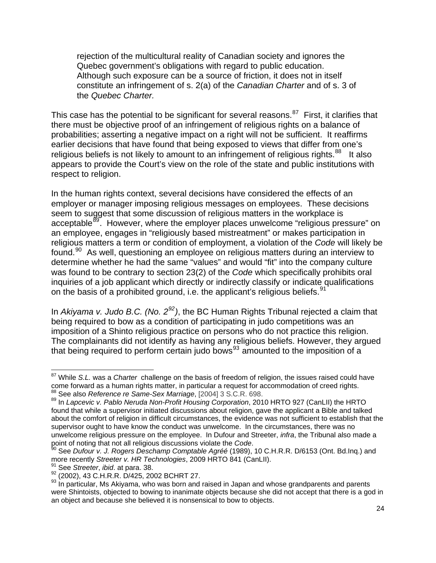rejection of the multicultural reality of Canadian society and ignores the Quebec government's obligations with regard to public education. Although such exposure can be a source of friction, it does not in itself constitute an infringement of s. 2(a) of the *Canadian Charter* and of s. 3 of the *Quebec Charter.*

This case has the potential to be significant for several reasons.<sup>[87](#page-23-0)</sup> First, it clarifies that there must be objective proof of an infringement of religious rights on a balance of probabilities; asserting a negative impact on a right will not be sufficient. It reaffirms earlier decisions that have found that being exposed to views that differ from one's religious beliefs is not likely to amount to an infringement of religious rights. $88$  It also appears to provide the Court's view on the role of the state and public institutions with respect to religion.

In the human rights context, several decisions have considered the effects of an employer or manager imposing religious messages on employees. These decisions seem to suggest that some discussion of religious matters in the workplace is acceptable<sup>[89](#page-23-2)</sup>. However, where the employer places unwelcome "religious pressure" on an employee, engages in "religiously based mistreatment" or makes participation in religious matters a term or condition of employment, a violation of the *Code* will likely be found.<sup>[90](#page-23-3)</sup> As well, questioning an employee on religious matters during an interview to determine whether he had the same "values" and would "fit" into the company culture was found to be contrary to section 23(2) of the *Code* which specifically prohibits oral inquiries of a job applicant which directly or indirectly classify or indicate qualifications on the basis of a prohibited ground, i.e. the applicant's religious beliefs.<sup>[91](#page-23-4)</sup>

In *Akiyama v. Judo B.C. (No. 2[92](#page-23-5))*, the BC Human Rights Tribunal rejected a claim that being required to bow as a condition of participating in judo competitions was an imposition of a Shinto religious practice on persons who do not practice this religion. The complainants did not identify as having any religious beliefs. However, they argued that being required to perform certain judo bows<sup>[93](#page-23-6)</sup> amounted to the imposition of a

<span id="page-23-0"></span><sup>87</sup> While *S.L.* was a *Charter* challenge on the basis of freedom of religion, the issues raised could have come forward as a human rights matter, in particular a request for accommodation of creed rights.

<span id="page-23-2"></span><span id="page-23-1"></span><sup>88</sup> See also *Reference re Same-Sex Marriage*, [2004] 3 S.C.R. 698.<br><sup>89</sup> In *Lapcevic v. [Pablo Neruda Non-Profit Housing Corporation](http://www.canlii.org/eliisa/highlight.do?language=en&searchTitle=2009+HRTO+841+%28CanLII%29&origin=%2Fen%2Fon%2Fonhrt%2Fdoc%2F2009%2F2009hrto841%2F2009hrto841.html&path=/en/on/onhrt/doc/2010/2010hrto927/2010hrto927.html)*, 2010 HRTO 927 (CanLII) the HRTO found that while a supervisor initiated discussions about religion, gave the applicant a Bible and talked about the comfort of religion in difficult circumstances, the evidence was not sufficient to establish that the supervisor ought to have know the conduct was unwelcome. In the circumstances, there was no unwelcome religious pressure on the employee. In Dufour and Streeter, *infra*, the Tribunal also made a point of noting that not all religious discussions violate the *Code*.

<span id="page-23-3"></span><sup>&</sup>lt;sup>90</sup> See *Dufour v. J. Rogers Deschamp Comptable Agréé* (1989), 10 C.H.R.R. D/6153 (Ont. Bd.Inq.) and<br>more recently *Streeter v. HR Technologies*, 2009 HRTO 841 (CanLII).

<span id="page-23-6"></span>

<span id="page-23-5"></span><span id="page-23-4"></span><sup>&</sup>lt;sup>91</sup> See Streeter, ibid. at para. 38.<br><sup>92</sup> (2002), 43 C.H.R.R. D/425, 2002 BCHRT 27.<br><sup>93</sup> In particular, Ms Akiyama, who was born and raised in Japan and whose grandparents and parents were Shintoists, objected to bowing to inanimate objects because she did not accept that there is a god in an object and because she believed it is nonsensical to bow to objects.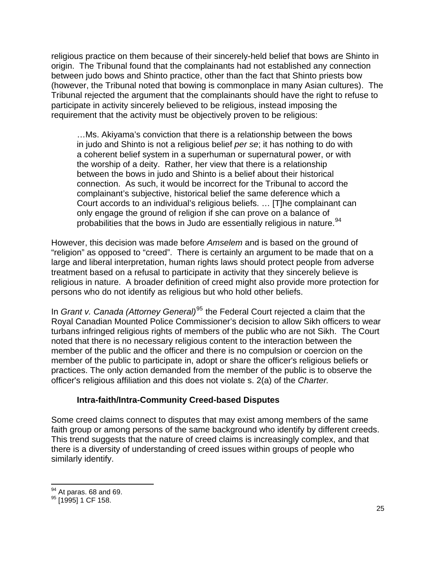religious practice on them because of their sincerely-held belief that bows are Shinto in origin. The Tribunal found that the complainants had not established any connection between judo bows and Shinto practice, other than the fact that Shinto priests bow (however, the Tribunal noted that bowing is commonplace in many Asian cultures). The Tribunal rejected the argument that the complainants should have the right to refuse to participate in activity sincerely believed to be religious, instead imposing the requirement that the activity must be objectively proven to be religious:

…Ms. Akiyama's conviction that there is a relationship between the bows in judo and Shinto is not a religious belief *per se*; it has nothing to do with a coherent belief system in a superhuman or supernatural power, or with the worship of a deity. Rather, her view that there is a relationship between the bows in judo and Shinto is a belief about their historical connection. As such, it would be incorrect for the Tribunal to accord the complainant's subjective, historical belief the same deference which a Court accords to an individual's religious beliefs. … [T]he complainant can only engage the ground of religion if she can prove on a balance of probabilities that the bows in Judo are essentially religious in nature.<sup>[94](#page-24-0)</sup>

However, this decision was made before *Amselem* and is based on the ground of "religion" as opposed to "creed". There is certainly an argument to be made that on a large and liberal interpretation, human rights laws should protect people from adverse treatment based on a refusal to participate in activity that they sincerely believe is religious in nature. A broader definition of creed might also provide more protection for persons who do not identify as religious but who hold other beliefs.

In *Grant v. Canada (Attorney General)*[95](#page-24-1) the Federal Court rejected a claim that the Royal Canadian Mounted Police Commissioner's decision to allow Sikh officers to wear turbans infringed religious rights of members of the public who are not Sikh. The Court noted that there is no necessary religious content to the interaction between the member of the public and the officer and there is no compulsion or coercion on the member of the public to participate in, adopt or share the officer's religious beliefs or practices. The only action demanded from the member of the public is to observe the officer's religious affiliation and this does not violate s. 2(a) of the *Charter.*

### **Intra-faith/Intra-Community Creed-based Disputes**

Some creed claims connect to disputes that may exist among members of the same faith group or among persons of the same background who identify by different creeds. This trend suggests that the nature of creed claims is increasingly complex, and that there is a diversity of understanding of creed issues within groups of people who similarly identify.

<span id="page-24-0"></span><sup>&</sup>lt;u> 1980 - Andrea Andrew Maria (h. 1980).</u><br>Demografia <sup>94</sup> At paras. 68 and 69.<br><sup>95</sup> [1995] 1 CF 158.

<span id="page-24-1"></span>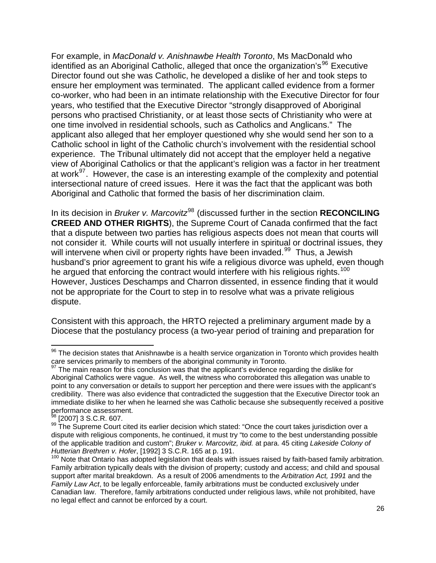For example, in *MacDonald v. Anishnawbe Health Toronto*, Ms MacDonald who identified as an Aboriginal Catholic, alleged that once the organization's<sup>[96](#page-25-0)</sup> Executive Director found out she was Catholic, he developed a dislike of her and took steps to ensure her employment was terminated. The applicant called evidence from a former co-worker, who had been in an intimate relationship with the Executive Director for four years, who testified that the Executive Director "strongly disapproved of Aboriginal persons who practised Christianity, or at least those sects of Christianity who were at one time involved in residential schools, such as Catholics and Anglicans." The applicant also alleged that her employer questioned why she would send her son to a Catholic school in light of the Catholic church's involvement with the residential school experience. The Tribunal ultimately did not accept that the employer held a negative view of Aboriginal Catholics or that the applicant's religion was a factor in her treatment at work<sup>[97](#page-25-1)</sup>. However, the case is an interesting example of the complexity and potential intersectional nature of creed issues. Here it was the fact that the applicant was both Aboriginal and Catholic that formed the basis of her discrimination claim.

In its decision in *Bruker v. Marcovitz*<sup>[98](#page-25-2)</sup> (discussed further in the section **RECONCILING CREED AND OTHER RIGHTS**), the Supreme Court of Canada confirmed that the fact that a dispute between two parties has religious aspects does not mean that courts will not consider it. While courts will not usually interfere in spiritual or doctrinal issues, they will intervene when civil or property rights have been invaded.<sup>[99](#page-25-3)</sup> Thus, a Jewish husband's prior agreement to grant his wife a religious divorce was upheld, even though he argued that enforcing the contract would interfere with his religious rights.<sup>[100](#page-25-4)</sup> However, Justices Deschamps and Charron dissented, in essence finding that it would not be appropriate for the Court to step in to resolve what was a private religious dispute.

Consistent with this approach, the HRTO rejected a preliminary argument made by a Diocese that the postulancy process (a two-year period of training and preparation for

<span id="page-25-0"></span>  $96$  The decision states that Anishnawbe is a health service organization in Toronto which provides health care services primarily to members of the aboriginal community in Toronto.

<span id="page-25-1"></span> $97$  The main reason for this conclusion was that the applicant's evidence regarding the dislike for Aboriginal Catholics were vague. As well, the witness who corroborated this allegation was unable to point to any conversation or details to support her perception and there were issues with the applicant's credibility. There was also evidence that contradicted the suggestion that the Executive Director took an immediate dislike to her when he learned she was Catholic because she subsequently received a positive performance assessment.

<span id="page-25-3"></span><span id="page-25-2"></span><sup>&</sup>lt;sup>98</sup> [2007] 3 S.C.R. 607.<br><sup>99</sup> The Supreme Court cited its earlier decision which stated: "Once the court takes jurisdiction over a dispute with religious components, he continued, it must try "to come to the best understanding possible of the applicable tradition and custom"; *Bruker v. Marcovitz, ibid.* at para. 45 citing *Lakeside Colony of* 

<span id="page-25-4"></span><sup>&</sup>lt;sup>100</sup> Note that Ontario has adopted legislation that deals with issues raised by faith-based family arbitration. Family arbitration typically deals with the division of property; custody and access; and child and spousal support after marital breakdown. As a result of 2006 amendments to the *Arbitration Act, 1991* and the *Family Law Act*, to be legally enforceable, family arbitrations must be conducted exclusively under Canadian law. Therefore, family arbitrations conducted under religious laws, while not prohibited, have no legal effect and cannot be enforced by a court.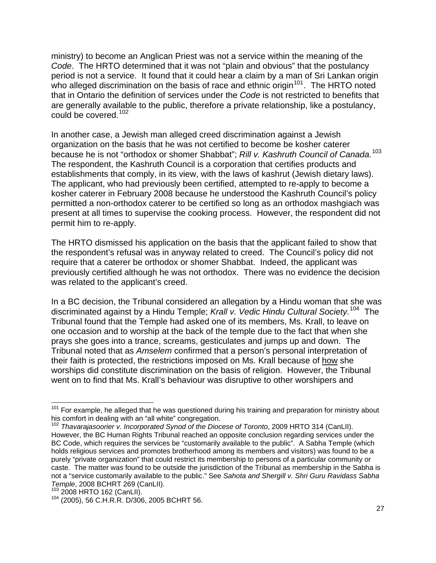ministry) to become an Anglican Priest was not a service within the meaning of the *Code*. The HRTO determined that it was not "plain and obvious" that the postulancy period is not a service. It found that it could hear a claim by a man of Sri Lankan origin who alleged discrimination on the basis of race and ethnic origin<sup>[101](#page-26-0)</sup>. The HRTO noted that in Ontario the definition of services under the *Code* is not restricted to benefits that are generally available to the public, therefore a private relationship, like a postulancy, could be covered.[102](#page-26-1)

In another case, a Jewish man alleged creed discrimination against a Jewish organization on the basis that he was not certified to become be kosher caterer because he is not "orthodox or shomer Shabbat"; *Rill v. Kashruth Council of Canada.*[103](#page-26-2) The respondent, the Kashruth Council is a corporation that certifies products and establishments that comply, in its view, with the laws of kashrut (Jewish dietary laws). The applicant, who had previously been certified, attempted to re-apply to become a kosher caterer in February 2008 because he understood the Kashruth Council's policy permitted a non-orthodox caterer to be certified so long as an orthodox mashgiach was present at all times to supervise the cooking process. However, the respondent did not permit him to re-apply.

The HRTO dismissed his application on the basis that the applicant failed to show that the respondent's refusal was in anyway related to creed. The Council's policy did not require that a caterer be orthodox or shomer Shabbat. Indeed, the applicant was previously certified although he was not orthodox. There was no evidence the decision was related to the applicant's creed.

In a BC decision, the Tribunal considered an allegation by a Hindu woman that she was discriminated against by a Hindu Temple; *Krall v. Vedic Hindu Cultural Society.*[104](#page-26-3) The Tribunal found that the Temple had asked one of its members, Ms. Krall, to leave on one occasion and to worship at the back of the temple due to the fact that when she prays she goes into a trance, screams, gesticulates and jumps up and down. The Tribunal noted that as *Amselem* confirmed that a person's personal interpretation of their faith is protected, the restrictions imposed on Ms. Krall because of how she worships did constitute discrimination on the basis of religion. However, the Tribunal went on to find that Ms. Krall's behaviour was disruptive to other worshipers and

<span id="page-26-0"></span>  $101$  For example, he alleged that he was questioned during his training and preparation for ministry about his comfort in dealing with an "all white" congregation.

<span id="page-26-1"></span><sup>102</sup> *Thavarajasoorier v. Incorporated Synod of the Diocese of Toronto*, 2009 HRTO 314 (CanLII). However, the BC Human Rights Tribunal reached an opposite conclusion regarding services under the BC Code, which requires the services be "customarily available to the public". A Sabha Temple (which holds religious services and promotes brotherhood among its members and visitors) was found to be a purely "private organization" that could restrict its membership to persons of a particular community or caste. The matter was found to be outside the jurisdiction of the Tribunal as membership in the Sabha is not a "service customarily available to the public." See *Sahota and Shergill v. Shri Guru Ravidass Sabha* 

<span id="page-26-3"></span><span id="page-26-2"></span>

*Temple*, 2008 BCHRT 269 (CanLII).<br><sup>103</sup> 2008 HRTO 162 (CanLII).<br><sup>104</sup> (2005), 56 C.H.R.R. D/306, 2005 BCHRT 56.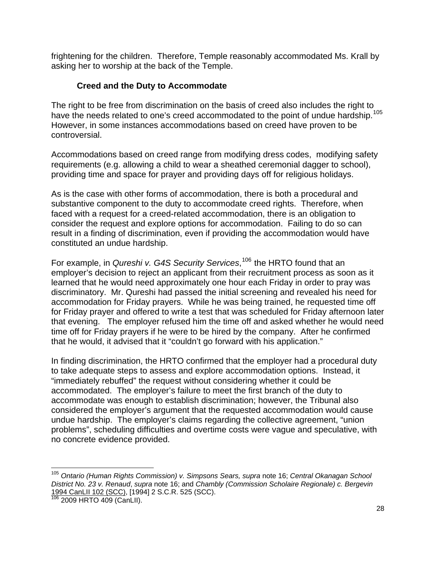frightening for the children. Therefore, Temple reasonably accommodated Ms. Krall by asking her to worship at the back of the Temple.

### **Creed and the Duty to Accommodate**

The right to be free from discrimination on the basis of creed also includes the right to have the needs related to one's creed accommodated to the point of undue hardship.<sup>[105](#page-27-0)</sup> However, in some instances accommodations based on creed have proven to be controversial.

Accommodations based on creed range from modifying dress codes, modifying safety requirements (e.g. allowing a child to wear a sheathed ceremonial dagger to school), providing time and space for prayer and providing days off for religious holidays.

As is the case with other forms of accommodation, there is both a procedural and substantive component to the duty to accommodate creed rights. Therefore, when faced with a request for a creed-related accommodation, there is an obligation to consider the request and explore options for accommodation. Failing to do so can result in a finding of discrimination, even if providing the accommodation would have constituted an undue hardship.

For example, in *Qureshi v. G4S Security Services*, [106](#page-27-1) the HRTO found that an employer's decision to reject an applicant from their recruitment process as soon as it learned that he would need approximately one hour each Friday in order to pray was discriminatory. Mr. Qureshi had passed the initial screening and revealed his need for accommodation for Friday prayers. While he was being trained, he requested time off for Friday prayer and offered to write a test that was scheduled for Friday afternoon later that evening. The employer refused him the time off and asked whether he would need time off for Friday prayers if he were to be hired by the company. After he confirmed that he would, it advised that it "couldn't go forward with his application."

In finding discrimination, the HRTO confirmed that the employer had a procedural duty to take adequate steps to assess and explore accommodation options. Instead, it "immediately rebuffed" the request without considering whether it could be accommodated. The employer's failure to meet the first branch of the duty to accommodate was enough to establish discrimination; however, the Tribunal also considered the employer's argument that the requested accommodation would cause undue hardship. The employer's claims regarding the collective agreement, "union problems", scheduling difficulties and overtime costs were vague and speculative, with no concrete evidence provided.

<span id="page-27-0"></span> <sup>105</sup> Ontario (Human Rights Commission) v. Simpsons Sears, supra note 16; Central Okanagan School *District No. 23 v. Renaud*, *supra* note 16; and *Chambly (Commission Scholaire Regionale) c. Bergevin* [1994 CanLII 102 \(SCC\)](http://www.canlii.org/en/ca/scc/doc/1994/1994canlii102/1994canlii102.html), [1994] 2 S.C.R. 525 (SCC).<br><sup>[106](http://www.canlii.org/en/ca/scc/doc/1994/1994canlii102/1994canlii102.html)</sup> 2009 HRTO 409 (CanLII).

<span id="page-27-1"></span>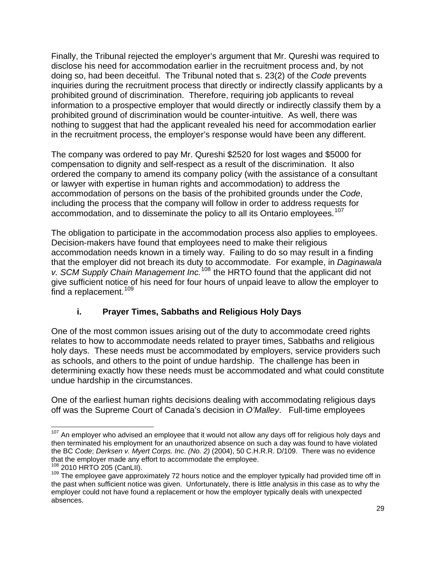Finally, the Tribunal rejected the employer's argument that Mr. Qureshi was required to disclose his need for accommodation earlier in the recruitment process and, by not doing so, had been deceitful. The Tribunal noted that s. 23(2) of the *Code* prevents inquiries during the recruitment process that directly or indirectly classify applicants by a prohibited ground of discrimination. Therefore, requiring job applicants to reveal information to a prospective employer that would directly or indirectly classify them by a prohibited ground of discrimination would be counter-intuitive. As well, there was nothing to suggest that had the applicant revealed his need for accommodation earlier in the recruitment process, the employer's response would have been any different.

The company was ordered to pay Mr. Qureshi \$2520 for lost wages and \$5000 for compensation to dignity and self-respect as a result of the discrimination. It also ordered the company to amend its company policy (with the assistance of a consultant or lawyer with expertise in human rights and accommodation) to address the accommodation of persons on the basis of the prohibited grounds under the *Code*, including the process that the company will follow in order to address requests for accommodation, and to disseminate the policy to all its Ontario employees.<sup>[107](#page-28-0)</sup>

The obligation to participate in the accommodation process also applies to employees. Decision-makers have found that employees need to make their religious accommodation needs known in a timely way. Failing to do so may result in a finding that the employer did not breach its duty to accommodate. For example, in *Daginawala v. SCM Supply Chain Management Inc.*[108](#page-28-1) the HRTO found that the applicant did not give sufficient notice of his need for four hours of unpaid leave to allow the employer to find a replacement.  $109$ 

## **i. Prayer Times, Sabbaths and Religious Holy Days**

One of the most common issues arising out of the duty to accommodate creed rights relates to how to accommodate needs related to prayer times, Sabbaths and religious holy days. These needs must be accommodated by employers, service providers such as schools, and others to the point of undue hardship. The challenge has been in determining exactly how these needs must be accommodated and what could constitute undue hardship in the circumstances.

One of the earliest human rights decisions dealing with accommodating religious days off was the Supreme Court of Canada's decision in *O'Malley*. Full-time employees

<span id="page-28-0"></span>  $107$  An employer who advised an employee that it would not allow any days off for religious holy days and then terminated his employment for an unauthorized absence on such a day was found to have violated the BC *Code*; *Derksen v. Myert Corps. Inc. (No. 2)* (2004), 50 C.H.R.R. D/109.There was no evidence that the employer made any effort to accommodate the employee.<br><sup>108</sup> 2010 HRTO 205 (CanLII).

<span id="page-28-1"></span>

<span id="page-28-2"></span><sup>109</sup> Zove HRTO 200 (Cantury:<br><sup>109</sup> The employee gave approximately 72 hours notice and the employer typically had provided time off in the past when sufficient notice was given. Unfortunately, there is little analysis in this case as to why the employer could not have found a replacement or how the employer typically deals with unexpected absences.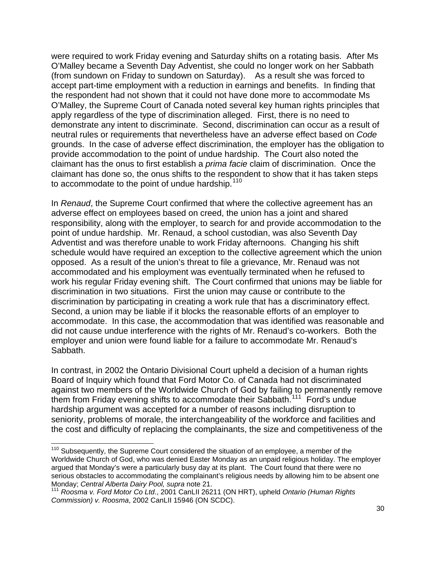were required to work Friday evening and Saturday shifts on a rotating basis. After Ms O'Malley became a Seventh Day Adventist, she could no longer work on her Sabbath (from sundown on Friday to sundown on Saturday). As a result she was forced to accept part-time employment with a reduction in earnings and benefits. In finding that the respondent had not shown that it could not have done more to accommodate Ms O'Malley, the Supreme Court of Canada noted several key human rights principles that apply regardless of the type of discrimination alleged. First, there is no need to demonstrate any intent to discriminate. Second, discrimination can occur as a result of neutral rules or requirements that nevertheless have an adverse effect based on *Code* grounds. In the case of adverse effect discrimination, the employer has the obligation to provide accommodation to the point of undue hardship. The Court also noted the claimant has the onus to first establish a *prima facie* claim of discrimination. Once the claimant has done so, the onus shifts to the respondent to show that it has taken steps to accommodate to the point of undue hardship.<sup>[110](#page-29-0)</sup>

In *Renaud*, the Supreme Court confirmed that where the collective agreement has an adverse effect on employees based on creed, the union has a joint and shared responsibility, along with the employer, to search for and provide accommodation to the point of undue hardship. Mr. Renaud, a school custodian, was also Seventh Day Adventist and was therefore unable to work Friday afternoons. Changing his shift schedule would have required an exception to the collective agreement which the union opposed. As a result of the union's threat to file a grievance, Mr. Renaud was not accommodated and his employment was eventually terminated when he refused to work his regular Friday evening shift. The Court confirmed that unions may be liable for discrimination in two situations. First the union may cause or contribute to the discrimination by participating in creating a work rule that has a discriminatory effect. Second, a union may be liable if it blocks the reasonable efforts of an employer to accommodate. In this case, the accommodation that was identified was reasonable and did not cause undue interference with the rights of Mr. Renaud's co-workers. Both the employer and union were found liable for a failure to accommodate Mr. Renaud's Sabbath.

In contrast, in 2002 the Ontario Divisional Court upheld a decision of a human rights Board of Inquiry which found that Ford Motor Co. of Canada had not discriminated against two members of the Worldwide Church of God by failing to permanently remove them from Friday evening shifts to accommodate their Sabbath.<sup>[111](#page-29-1)</sup> Ford's undue hardship argument was accepted for a number of reasons including disruption to seniority, problems of morale, the interchangeability of the workforce and facilities and the cost and difficulty of replacing the complainants, the size and competitiveness of the

<span id="page-29-0"></span> $110$  Subsequently, the Supreme Court considered the situation of an employee, a member of the Worldwide Church of God, who was denied Easter Monday as an unpaid religious holiday. The employer argued that Monday's were a particularly busy day at its plant. The Court found that there were no serious obstacles to accommodating the complainant's religious needs by allowing him to be absent one Monday; *Central Alberta Dairy Pool, supra* note 21.

<span id="page-29-1"></span><sup>111</sup> *Roosma v. Ford Motor Co Ltd*., 2001 CanLII 26211 (ON HRT), upheld *Ontario (Human Rights Commission) v. Roosma*, 2002 CanLII 15946 (ON SCDC).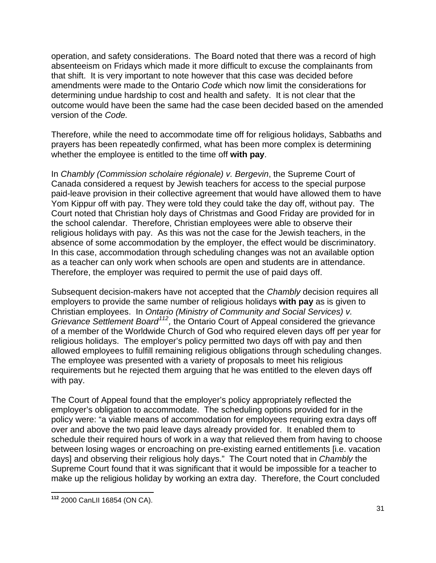operation, and safety considerations. The Board noted that there was a record of high absenteeism on Fridays which made it more difficult to excuse the complainants from that shift. It is very important to note however that this case was decided before amendments were made to the Ontario *Code* which now limit the considerations for determining undue hardship to cost and health and safety. It is not clear that the outcome would have been the same had the case been decided based on the amended version of the *Code.* 

Therefore, while the need to accommodate time off for religious holidays, Sabbaths and prayers has been repeatedly confirmed, what has been more complex is determining whether the employee is entitled to the time off **with pay**.

In *Chambly (Commission scholaire régionale) v. Bergevin*, the Supreme Court of Canada considered a request by Jewish teachers for access to the special purpose paid-leave provision in their collective agreement that would have allowed them to have Yom Kippur off with pay. They were told they could take the day off, without pay. The Court noted that Christian holy days of Christmas and Good Friday are provided for in the school calendar. Therefore, Christian employees were able to observe their religious holidays with pay. As this was not the case for the Jewish teachers, in the absence of some accommodation by the employer, the effect would be discriminatory. In this case, accommodation through scheduling changes was not an available option as a teacher can only work when schools are open and students are in attendance. Therefore, the employer was required to permit the use of paid days off.

of a member of the Worldwide Church of God who required eleven days off per year for Subsequent decision-makers have not accepted that the *Chambly* decision requires all employers to provide the same number of religious holidays **with pay** as is given to Christian employees. In *Ontario (Ministry of Community and Social Services) v. Grievance Settlement Board[112](#page-30-0),* the Ontario Court of Appeal considered the grievance religious holidays. The employer's policy permitted two days off with pay and then allowed employees to fulfill remaining religious obligations through scheduling changes. The employee was presented with a variety of proposals to meet his religious requirements but he rejected them arguing that he was entitled to the eleven days off with pay.

The Court of Appeal found that the employer's policy appropriately reflected the employer's obligation to accommodate. The scheduling options provided for in the policy were: "a viable means of accommodation for employees requiring extra days off over and above the two paid leave days already provided for. It enabled them to schedule their required hours of work in a way that relieved them from having to choose between losing wages or encroaching on pre-existing earned entitlements [i.e. vacation days] and observing their religious holy days." The Court noted that in *Chambly* the Supreme Court found that it was significant that it would be impossible for a teacher to make up the religious holiday by working an extra day. Therefore, the Court concluded

<span id="page-30-0"></span> **<sup>112</sup>** 2000 CanLII 16854 (ON CA).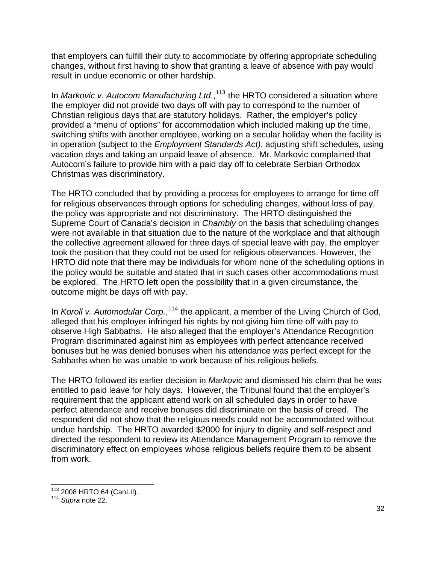that employers can fulfill their duty to accommodate by offering appropriate scheduling changes, without first having to show that granting a leave of absence with pay would result in undue economic or other hardship.

In *Markovic v. Autocom Manufacturing Ltd.*,<sup>[113](#page-31-0)</sup> the HRTO considered a situation where the employer did not provide two days off with pay to correspond to the number of Christian religious days that are statutory holidays. Rather, the employer's policy provided a "menu of options" for accommodation which included making up the time, switching shifts with another employee, working on a secular holiday when the facility is in operation (subject to the *Employment Standards Act)*, adjusting shift schedules, using vacation days and taking an unpaid leave of absence. Mr. Markovic complained that Autocom's failure to provide him with a paid day off to celebrate Serbian Orthodox Christmas was discriminatory.

The HRTO concluded that by providing a process for employees to arrange for time off for religious observances through options for scheduling changes, without loss of pay, the policy was appropriate and not discriminatory. The HRTO distinguished the Supreme Court of Canada's decision in *Chambly* on the basis that scheduling changes were not available in that situation due to the nature of the workplace and that although the collective agreement allowed for three days of special leave with pay, the employer took the position that they could not be used for religious observances. However, the HRTO did note that there may be individuals for whom none of the scheduling options in the policy would be suitable and stated that in such cases other accommodations must be explored. The HRTO left open the possibility that in a given circumstance, the outcome might be days off with pay.

In *Koroll v. Automodular Corp.*,<sup>[114](#page-31-1)</sup> the applicant, a member of the Living Church of God, alleged that his employer infringed his rights by not giving him time off with pay to observe High Sabbaths. He also alleged that the employer's Attendance Recognition Program discriminated against him as employees with perfect attendance received bonuses but he was denied bonuses when his attendance was perfect except for the Sabbaths when he was unable to work because of his religious beliefs.

The HRTO followed its earlier decision in *Markovic* and dismissed his claim that he was entitled to paid leave for holy days. However, the Tribunal found that the employer's requirement that the applicant attend work on all scheduled days in order to have perfect attendance and receive bonuses did discriminate on the basis of creed. The respondent did not show that the religious needs could not be accommodated without undue hardship. The HRTO awarded \$2000 for injury to dignity and self-respect and directed the respondent to review its Attendance Management Program to remove the discriminatory effect on employees whose religious beliefs require them to be absent from work.

<u> 1980 - Andrea Albert III, martin am Franca</u>

<span id="page-31-1"></span><span id="page-31-0"></span><sup>&</sup>lt;sup>113</sup> 2008 HRTO 64 (CanLII).<br><sup>114</sup> *Supra* note 22.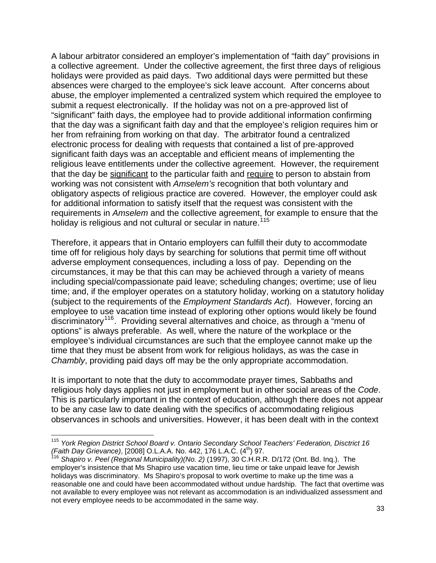A labour arbitrator considered an employer's implementation of "faith day" provisions in a collective agreement. Under the collective agreement, the first three days of religious holidays were provided as paid days. Two additional days were permitted but these absences were charged to the employee's sick leave account. After concerns about abuse, the employer implemented a centralized system which required the employee to submit a request electronically. If the holiday was not on a pre-approved list of "significant" faith days, the employee had to provide additional information confirming that the day was a significant faith day and that the employee's religion requires him or her from refraining from working on that day. The arbitrator found a centralized electronic process for dealing with requests that contained a list of pre-approved significant faith days was an acceptable and efficient means of implementing the religious leave entitlements under the collective agreement. However, the requirement that the day be significant to the particular faith and require to person to abstain from working was not consistent with *Amselem's* recognition that both voluntary and obligatory aspects of religious practice are covered. However, the employer could ask for additional information to satisfy itself that the request was consistent with the requirements in *Amselem* and the collective agreement, for example to ensure that the holiday is religious and not cultural or secular in nature.<sup>[115](#page-32-0)</sup>

Therefore, it appears that in Ontario employers can fulfill their duty to accommodate time off for religious holy days by searching for solutions that permit time off without adverse employment consequences, including a loss of pay. Depending on the circumstances, it may be that this can may be achieved through a variety of means including special/compassionate paid leave; scheduling changes; overtime; use of lieu time; and, if the employer operates on a statutory holiday, working on a statutory holiday (subject to the requirements of the *Employment Standards Act*). However, forcing an employee to use vacation time instead of exploring other options would likely be found discriminatory[116](#page-32-1). Providing several alternatives and choice, as through a "menu of options" is always preferable. As well, where the nature of the workplace or the employee's individual circumstances are such that the employee cannot make up the time that they must be absent from work for religious holidays, as was the case in *Chambly*, providing paid days off may be the only appropriate accommodation.

It is important to note that the duty to accommodate prayer times, Sabbaths and religious holy days applies not just in employment but in other social areas of the *Code*. This is particularly important in the context of education, although there does not appear to be any case law to date dealing with the specifics of accommodating religious observances in schools and universities. However, it has been dealt with in the context

<u> 1980 - Andrea Albert III, martin am Franca</u>

<span id="page-32-0"></span><sup>115</sup> *York Region District School Board v. Ontario Secondary School Teachers' Federation, Disctrict 16 (Faith Day Grievance)*, [2008] O.L.A.A. No. 442, 176 L.A.C. (4<sup>th</sup>) 97.<br><sup>116</sup> Shapiro v. Peel (Regional Municipality)(No. 2) (1997), 30 C.H.R.R. D/172 (Ont. Bd. Inq.). The

<span id="page-32-1"></span>employer's insistence that Ms Shapiro use vacation time, lieu time or take unpaid leave for Jewish holidays was discriminatory. Ms Shapiro's proposal to work overtime to make up the time was a reasonable one and could have been accommodated without undue hardship. The fact that overtime was not available to every employee was not relevant as accommodation is an individualized assessment and not every employee needs to be accommodated in the same way.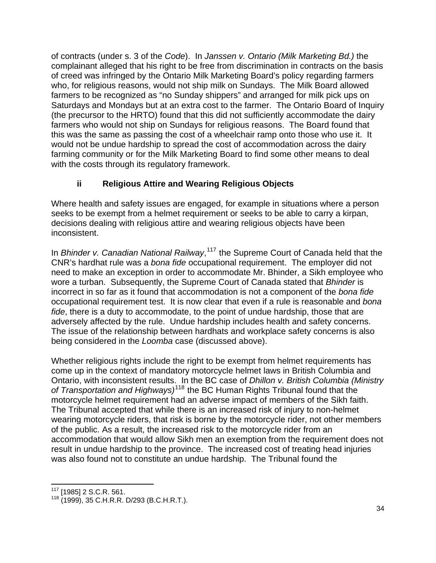of contracts (under s. 3 of the *Code*). In *Janssen v. Ontario (Milk Marketing Bd.)* the complainant alleged that his right to be free from discrimination in contracts on the basis of creed was infringed by the Ontario Milk Marketing Board's policy regarding farmers who, for religious reasons, would not ship milk on Sundays. The Milk Board allowed farmers to be recognized as "no Sunday shippers" and arranged for milk pick ups on Saturdays and Mondays but at an extra cost to the farmer. The Ontario Board of Inquiry (the precursor to the HRTO) found that this did not sufficiently accommodate the dairy farmers who would not ship on Sundays for religious reasons. The Board found that this was the same as passing the cost of a wheelchair ramp onto those who use it. It would not be undue hardship to spread the cost of accommodation across the dairy farming community or for the Milk Marketing Board to find some other means to deal with the costs through its regulatory framework.

# **ii Religious Attire and Wearing Religious Objects**

Where health and safety issues are engaged, for example in situations where a person seeks to be exempt from a helmet requirement or seeks to be able to carry a kirpan, decisions dealing with religious attire and wearing religious objects have been inconsistent.

In *Bhinder v. Canadian National Railway*, [117](#page-33-0) the Supreme Court of Canada held that the CNR's hardhat rule was a *bona fide* occupational requirement. The employer did not need to make an exception in order to accommodate Mr. Bhinder, a Sikh employee who wore a turban. Subsequently, the Supreme Court of Canada stated that *Bhinder* is incorrect in so far as it found that accommodation is not a component of the *bona fide*  occupational requirement test. It is now clear that even if a rule is reasonable and *bona fide*, there is a duty to accommodate, to the point of undue hardship, those that are adversely affected by the rule. Undue hardship includes health and safety concerns. The issue of the relationship between hardhats and workplace safety concerns is also being considered in the *Loomba* case (discussed above).

Whether religious rights include the right to be exempt from helmet requirements has come up in the context of mandatory motorcycle helmet laws in British Columbia and Ontario, with inconsistent results. In the BC case of *Dhillon v. British Columbia (Ministry of Transportation and Highways)*[118](#page-33-1) the BC Human Rights Tribunal found that the motorcycle helmet requirement had an adverse impact of members of the Sikh faith. The Tribunal accepted that while there is an increased risk of injury to non-helmet wearing motorcycle riders, that risk is borne by the motorcycle rider, not other members of the public. As a result, the increased risk to the motorcycle rider from an accommodation that would allow Sikh men an exemption from the requirement does not result in undue hardship to the province. The increased cost of treating head injuries was also found not to constitute an undue hardship. The Tribunal found the

<span id="page-33-0"></span><sup>&</sup>lt;u> 1980 - Andrea Albert III, martin am Franca</u>

<span id="page-33-1"></span><sup>&</sup>lt;sup>117</sup> [1985] 2 S.C.R. 561.<br><sup>118</sup> (1999), 35 C.H.R.R. D/293 (B.C.H.R.T.).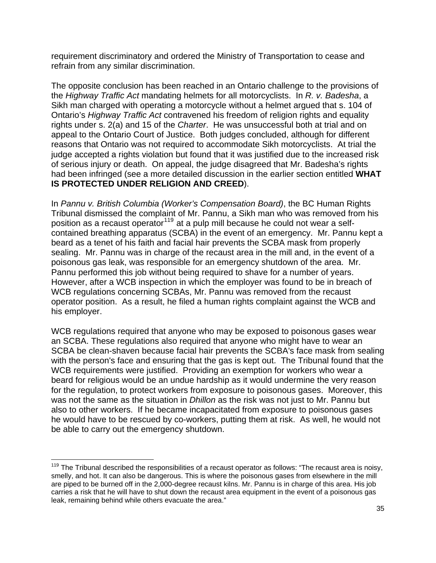requirement discriminatory and ordered the Ministry of Transportation to cease and refrain from any similar discrimination.

The opposite conclusion has been reached in an Ontario challenge to the provisions of the *Highway Traffic Act* mandating helmets for all motorcyclists. In *R. v. Badesha*, a Sikh man charged with operating a motorcycle without a helmet argued that s. 104 of Ontario's *Highway Traffic Act* contravened his freedom of religion rights and equality rights under s. 2(a) and 15 of the *Charter*. He was unsuccessful both at trial and on appeal to the Ontario Court of Justice. Both judges concluded, although for different reasons that Ontario was not required to accommodate Sikh motorcyclists. At trial the judge accepted a rights violation but found that it was justified due to the increased risk of serious injury or death. On appeal, the judge disagreed that Mr. Badesha's rights had been infringed (see a more detailed discussion in the earlier section entitled **WHAT IS PROTECTED UNDER RELIGION AND CREED**).

In *Pannu v. British Columbia (Worker's Compensation Board)*, the BC Human Rights Tribunal dismissed the complaint of Mr. Pannu, a Sikh man who was removed from his position as a recaust operator<sup>[119](#page-34-0)</sup> at a pulp mill because he could not wear a selfcontained breathing apparatus (SCBA) in the event of an emergency. Mr. Pannu kept a beard as a tenet of his faith and facial hair prevents the SCBA mask from properly sealing. Mr. Pannu was in charge of the recaust area in the mill and, in the event of a poisonous gas leak, was responsible for an emergency shutdown of the area. Mr. Pannu performed this job without being required to shave for a number of years. However, after a WCB inspection in which the employer was found to be in breach of WCB regulations concerning SCBAs, Mr. Pannu was removed from the recaust operator position. As a result, he filed a human rights complaint against the WCB and his employer.

WCB regulations required that anyone who may be exposed to poisonous gases wear an SCBA. These regulations also required that anyone who might have to wear an SCBA be clean-shaven because facial hair prevents the SCBA's face mask from sealing with the person's face and ensuring that the gas is kept out. The Tribunal found that the WCB requirements were justified. Providing an exemption for workers who wear a beard for religious would be an undue hardship as it would undermine the very reason for the regulation, to protect workers from exposure to poisonous gases. Moreover, this was not the same as the situation in *Dhillon* as the risk was not just to Mr. Pannu but also to other workers. If he became incapacitated from exposure to poisonous gases he would have to be rescued by co-workers, putting them at risk. As well, he would not be able to carry out the emergency shutdown.

<span id="page-34-0"></span><sup>&</sup>lt;u> 1980 - Andrea Albert III, martin am Franca</u>  $119$  The Tribunal described the responsibilities of a recaust operator as follows: "The recaust area is noisy, smelly, and hot. It can also be dangerous. This is where the poisonous gases from elsewhere in the mill are piped to be burned off in the 2,000-degree recaust kilns. Mr. Pannu is in charge of this area. His job carries a risk that he will have to shut down the recaust area equipment in the event of a poisonous gas leak, remaining behind while others evacuate the area."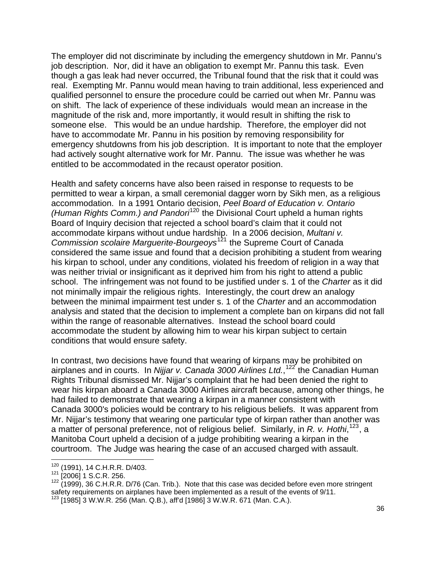The employer did not discriminate by including the emergency shutdown in Mr. Pannu's job description. Nor, did it have an obligation to exempt Mr. Pannu this task. Even though a gas leak had never occurred, the Tribunal found that the risk that it could was real. Exempting Mr. Pannu would mean having to train additional, less experienced and qualified personnel to ensure the procedure could be carried out when Mr. Pannu was on shift. The lack of experience of these individuals would mean an increase in the magnitude of the risk and, more importantly, it would result in shifting the risk to someone else. This would be an undue hardship. Therefore, the employer did not have to accommodate Mr. Pannu in his position by removing responsibility for emergency shutdowns from his job description. It is important to note that the employer had actively sought alternative work for Mr. Pannu. The issue was whether he was entitled to be accommodated in the recaust operator position.

Health and safety concerns have also been raised in response to requests to be permitted to wear a kirpan, a small ceremonial dagger worn by Sikh men, as a religious accommodation. In a 1991 Ontario decision, *Peel Board of Education v. Ontario (Human Rights Comm.) and Pandori*[120](#page-35-0) the Divisional Court upheld a human rights Board of Inquiry decision that rejected a school board's claim that it could not accommodate kirpans without undue hardship. In a 2006 decision, *Multani v. Commission scolaire Marguerite-Bourgeoys*<sup>[121](#page-35-1)</sup> the Supreme Court of Canada considered the same issue and found that a decision prohibiting a student from wearing his kirpan to school, under any conditions, violated his freedom of religion in a way that was neither trivial or insignificant as it deprived him from his right to attend a public school. The infringement was not found to be justified under s. 1 of the *Charter* as it did not minimally impair the religious rights. Interestingly, the court drew an analogy between the minimal impairment test under s. 1 of the *Charter* and an accommodation analysis and stated that the decision to implement a complete ban on kirpans did not fall within the range of reasonable alternatives. Instead the school board could accommodate the student by allowing him to wear his kirpan subject to certain conditions that would ensure safety.

In contrast, two decisions have found that wearing of kirpans may be prohibited on airplanes and in courts. In *Nijjar v. Canada 3000 Airlines Ltd.*, [122](#page-35-2) the Canadian Human Rights Tribunal dismissed Mr. Nijjar's complaint that he had been denied the right to wear his kirpan aboard a Canada 3000 Airlines aircraft because, among other things, he had failed to demonstrate that wearing a kirpan in a manner consistent with Canada 3000's policies would be contrary to his religious beliefs. It was apparent from Mr. Nijjar's testimony that wearing one particular type of kirpan rather than another was a matter of personal preference, not of religious belief. Similarly, in *R. v. Hothi*, [123](#page-35-3), a Manitoba Court upheld a decision of a judge prohibiting wearing a kirpan in the courtroom. The Judge was hearing the case of an accused charged with assault.

<sup>&</sup>lt;u> 1989 - Andrea Albert III, martin amerikan bahasa dalam pengaran pengaran pengaran pengaran pengaran pengaran</u> <sup>120</sup> (1991), 14 C.H.R.R. D/403.<br><sup>121</sup> [2006] 1 S.C.R. 256.

<span id="page-35-2"></span><span id="page-35-1"></span><span id="page-35-0"></span> $121$  (1991), 14 C.H.R.R. D/460.<br> $122$  (2006] 1 S.C.R. 256.<br> $122$  (1999), 36 C.H.R.R. D/76 (Can. Trib.). Note that this case was decided before even more stringent safety requirements on airplanes have been implemented as a result of the events of 9/11.

<span id="page-35-3"></span> $123$  [1985] 3 W.W.R. 256 (Man. Q.B.), aff'd [1986] 3 W.W.R. 671 (Man. C.A.).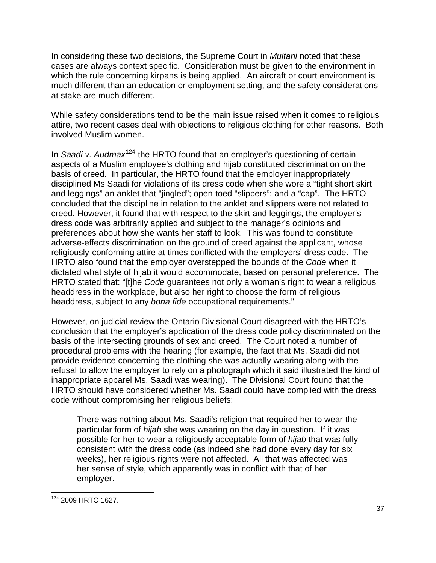In considering these two decisions, the Supreme Court in *Multani* noted that these cases are always context specific. Consideration must be given to the environment in which the rule concerning kirpans is being applied. An aircraft or court environment is much different than an education or employment setting, and the safety considerations at stake are much different.

While safety considerations tend to be the main issue raised when it comes to religious attire, two recent cases deal with objections to religious clothing for other reasons. Both involved Muslim women.

In *Saadi v. Audmax*<sup>[124](#page-36-0)</sup> the HRTO found that an employer's questioning of certain aspects of a Muslim employee's clothing and hijab constituted discrimination on the basis of creed. In particular, the HRTO found that the employer inappropriately disciplined Ms Saadi for violations of its dress code when she wore a "tight short skirt and leggings" an anklet that "jingled"; open-toed "slippers"; and a "cap". The HRTO concluded that the discipline in relation to the anklet and slippers were not related to creed. However, it found that with respect to the skirt and leggings, the employer's dress code was arbitrarily applied and subject to the manager's opinions and preferences about how she wants her staff to look. This was found to constitute adverse-effects discrimination on the ground of creed against the applicant, whose religiously-conforming attire at times conflicted with the employers' dress code. The HRTO also found that the employer overstepped the bounds of the *Code* when it dictated what style of hijab it would accommodate, based on personal preference. The HRTO stated that: "[t]he *Code* guarantees not only a woman's right to wear a religious headdress in the workplace, but also her right to choose the form of religious headdress, subject to any *bona fide* occupational requirements."

However, on judicial review the Ontario Divisional Court disagreed with the HRTO's conclusion that the employer's application of the dress code policy discriminated on the basis of the intersecting grounds of sex and creed. The Court noted a number of procedural problems with the hearing (for example, the fact that Ms. Saadi did not provide evidence concerning the clothing she was actually wearing along with the refusal to allow the employer to rely on a photograph which it said illustrated the kind of inappropriate apparel Ms. Saadi was wearing). The Divisional Court found that the HRTO should have considered whether Ms. Saadi could have complied with the dress code without compromising her religious beliefs:

There was nothing about Ms. Saadi's religion that required her to wear the particular form of *hijab* she was wearing on the day in question. If it was possible for her to wear a religiously acceptable form of *hijab* that was fully consistent with the dress code (as indeed she had done every day for six weeks), her religious rights were not affected. All that was affected was her sense of style, which apparently was in conflict with that of her employer.

<span id="page-36-0"></span> 124 2009 HRTO 1627.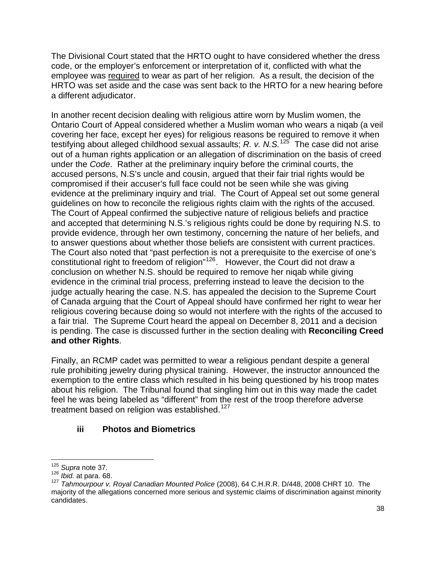The Divisional Court stated that the HRTO ought to have considered whether the dress code, or the employer's enforcement or interpretation of it, conflicted with what the employee was required to wear as part of her religion. As a result, the decision of the HRTO was set aside and the case was sent back to the HRTO for a new hearing before a different adjudicator.

In another recent decision dealing with religious attire worn by Muslim women, the Ontario Court of Appeal considered whether a Muslim woman who wears a niqab (a veil covering her face, except her eyes) for religious reasons be required to remove it when testifying about alleged childhood sexual assaults; *R. v. N.S.*[125](#page-37-0) The case did not arise out of a human rights application or an allegation of discrimination on the basis of creed under the *Code*. Rather at the preliminary inquiry before the criminal courts, the accused persons, N.S's uncle and cousin, argued that their fair trial rights would be compromised if their accuser's full face could not be seen while she was giving evidence at the preliminary inquiry and trial. The Court of Appeal set out some general guidelines on how to reconcile the religious rights claim with the rights of the accused. The Court of Appeal confirmed the subjective nature of religious beliefs and practice and accepted that determining N.S.'s religious rights could be done by requiring N.S. to provide evidence, through her own testimony, concerning the nature of her beliefs, and to answer questions about whether those beliefs are consistent with current practices. The Court also noted that "past perfection is not a prerequisite to the exercise of one's constitutional right to freedom of religion"[126](#page-37-1). However, the Court did not draw a conclusion on whether N.S. should be required to remove her niqab while giving evidence in the criminal trial process, preferring instead to leave the decision to the judge actually hearing the case. N.S. has appealed the decision to the Supreme Court of Canada arguing that the Court of Appeal should have confirmed her right to wear her religious covering because doing so would not interfere with the rights of the accused to a fair trial. The Supreme Court heard the appeal on December 8, 2011 and a decision is pending. The case is discussed further in the section dealing with **Reconciling Creed and other Rights**.

Finally, an RCMP cadet was permitted to wear a religious pendant despite a general rule prohibiting jewelry during physical training. However, the instructor announced the exemption to the entire class which resulted in his being questioned by his troop mates about his religion. The Tribunal found that singling him out in this way made the cadet feel he was being labeled as "different" from the rest of the troop therefore adverse treatment based on religion was established.<sup>[127](#page-37-2)</sup>

## **iii Photos and Biometrics**

<sup>&</sup>lt;u> 1980 - Andrea Albert III, martin am Franca</u>

<span id="page-37-0"></span><sup>&</sup>lt;sup>125</sup> *Supra* note 37.<br><sup>126</sup> *Ibid.* at para. 68.

<span id="page-37-2"></span><span id="page-37-1"></span><sup>&</sup>lt;sup>127</sup> Tahmourpour v. Royal Canadian Mounted Police (2008), 64 C.H.R.R. D/448, 2008 CHRT 10. The majority of the allegations concerned more serious and systemic claims of discrimination against minority candidates.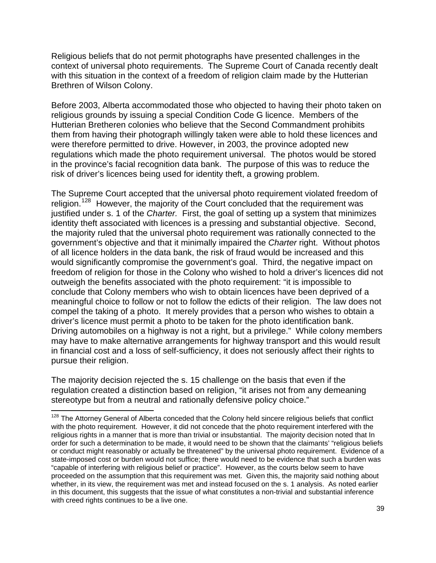Religious beliefs that do not permit photographs have presented challenges in the context of universal photo requirements. The Supreme Court of Canada recently dealt with this situation in the context of a freedom of religion claim made by the Hutterian Brethren of Wilson Colony.

Before 2003, Alberta accommodated those who objected to having their photo taken on religious grounds by issuing a special Condition Code G licence. Members of the Hutterian Bretheren colonies who believe that the Second Commandment prohibits them from having their photograph willingly taken were able to hold these licences and were therefore permitted to drive. However, in 2003, the province adopted new regulations which made the photo requirement universal. The photos would be stored in the province's facial recognition data bank. The purpose of this was to reduce the risk of driver's licences being used for identity theft, a growing problem.

The Supreme Court accepted that the universal photo requirement violated freedom of religion.<sup>[128](#page-38-0)</sup> However, the majority of the Court concluded that the requirement was justified under s. 1 of the *Charter.* First, the goal of setting up a system that minimizes identity theft associated with licences is a pressing and substantial objective. Second, the majority ruled that the universal photo requirement was rationally connected to the government's objective and that it minimally impaired the *Charter* right. Without photos of all licence holders in the data bank, the risk of fraud would be increased and this would significantly compromise the government's goal. Third, the negative impact on freedom of religion for those in the Colony who wished to hold a driver's licences did not outweigh the benefits associated with the photo requirement: "it is impossible to conclude that Colony members who wish to obtain licences have been deprived of a meaningful choice to follow or not to follow the edicts of their religion. The law does not compel the taking of a photo. It merely provides that a person who wishes to obtain a driver's licence must permit a photo to be taken for the photo identification bank. Driving automobiles on a highway is not a right, but a privilege." While colony members may have to make alternative arrangements for highway transport and this would result in financial cost and a loss of self-sufficiency, it does not seriously affect their rights to pursue their religion.

The majority decision rejected the s. 15 challenge on the basis that even if the regulation created a distinction based on religion, "it arises not from any demeaning stereotype but from a neutral and rationally defensive policy choice."

<u> 1989 - Andrea Albert III, martin a bhaile an t-Iomraidh an t-Iomraidh an t-Iomraidh an t-Iomraidh an t-Iomraid</u>

<span id="page-38-0"></span><sup>&</sup>lt;sup>128</sup> The Attorney General of Alberta conceded that the Colony held sincere religious beliefs that conflict with the photo requirement. However, it did not concede that the photo requirement interfered with the religious rights in a manner that is more than trivial or insubstantial. The majority decision noted that In order for such a determination to be made, it would need to be shown that the claimants' "religious beliefs or conduct might reasonably or actually be threatened" by the universal photo requirement. Evidence of a state-imposed cost or burden would not suffice; there would need to be evidence that such a burden was "capable of interfering with religious belief or practice". However, as the courts below seem to have proceeded on the assumption that this requirement was met. Given this, the majority said nothing about whether, in its view, the requirement was met and instead focused on the s. 1 analysis. As noted earlier in this document, this suggests that the issue of what constitutes a non-trivial and substantial inference with creed rights continues to be a live one.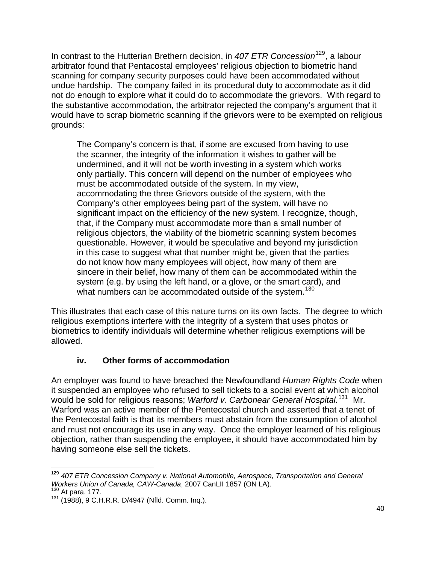In contrast to the Hutterian Brethern decision, in 407 ETR Concession<sup>[129](#page-39-0)</sup>, a labour arbitrator found that Pentacostal employees' religious objection to biometric hand scanning for company security purposes could have been accommodated without undue hardship. The company failed in its procedural duty to accommodate as it did not do enough to explore what it could do to accommodate the grievors. With regard to the substantive accommodation, the arbitrator rejected the company's argument that it would have to scrap biometric scanning if the grievors were to be exempted on religious grounds:

The Company's concern is that, if some are excused from having to use the scanner, the integrity of the information it wishes to gather will be undermined, and it will not be worth investing in a system which works only partially. This concern will depend on the number of employees who must be accommodated outside of the system. In my view, accommodating the three Grievors outside of the system, with the Company's other employees being part of the system, will have no significant impact on the efficiency of the new system. I recognize, though, that, if the Company must accommodate more than a small number of religious objectors, the viability of the biometric scanning system becomes questionable. However, it would be speculative and beyond my jurisdiction in this case to suggest what that number might be, given that the parties do not know how many employees will object, how many of them are sincere in their belief, how many of them can be accommodated within the system (e.g. by using the left hand, or a glove, or the smart card), and what numbers can be accommodated outside of the system.<sup>[130](#page-39-1)</sup>

This illustrates that each case of this nature turns on its own facts. The degree to which religious exemptions interfere with the integrity of a system that uses photos or biometrics to identify individuals will determine whether religious exemptions will be allowed.

## **iv. Other forms of accommodation**

An employer was found to have breached the Newfoundland *Human Rights Code* when it suspended an employee who refused to sell tickets to a social event at which alcohol would be sold for religious reasons; *Warford v. Carbonear General Hospital.*[131](#page-39-2)Mr. Warford was an active member of the Pentecostal church and asserted that a tenet of the Pentecostal faith is that its members must abstain from the consumption of alcohol and must not encourage its use in any way. Once the employer learned of his religious objection, rather than suspending the employee, it should have accommodated him by having someone else sell the tickets.

<span id="page-39-0"></span> **<sup>129</sup>** *407 ETR Concession Company v. National Automobile, Aerospace, Transportation and General Workers Union of Canada, CAW-Canada, 2007 CanLII 1857 (ON LA).* <sup>130</sup> At para. 177.<br><sup>130</sup> At para. 177. 131 (1988), 9 C.H.R.R. D/4947 (Nfld. Comm. Inq.).

<span id="page-39-2"></span><span id="page-39-1"></span>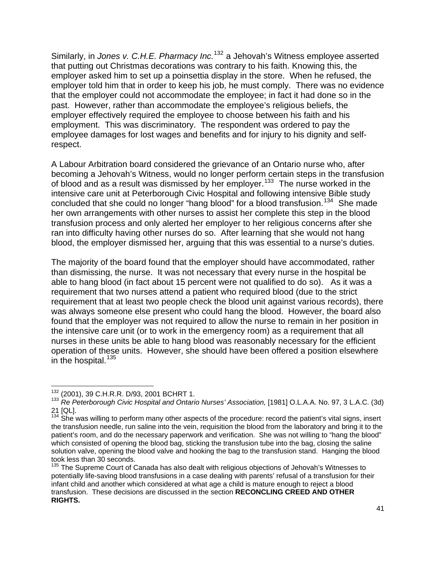Similarly, in *Jones v. C.H.E. Pharmacy Inc.*[132](#page-40-0) a Jehovah's Witness employee asserted that putting out Christmas decorations was contrary to his faith. Knowing this, the employer asked him to set up a poinsettia display in the store. When he refused, the employer told him that in order to keep his job, he must comply. There was no evidence that the employer could not accommodate the employee; in fact it had done so in the past. However, rather than accommodate the employee's religious beliefs, the employer effectively required the employee to choose between his faith and his employment. This was discriminatory. The respondent was ordered to pay the employee damages for lost wages and benefits and for injury to his dignity and selfrespect.

A Labour Arbitration board considered the grievance of an Ontario nurse who, after becoming a Jehovah's Witness, would no longer perform certain steps in the transfusion of blood and as a result was dismissed by her employer.<sup>[133](#page-40-1)</sup> The nurse worked in the intensive care unit at Peterborough Civic Hospital and following intensive Bible study concluded that she could no longer "hang blood" for a blood transfusion.<sup>[134](#page-40-2)</sup> She made her own arrangements with other nurses to assist her complete this step in the blood transfusion process and only alerted her employer to her religious concerns after she ran into difficulty having other nurses do so. After learning that she would not hang blood, the employer dismissed her, arguing that this was essential to a nurse's duties.

The majority of the board found that the employer should have accommodated, rather than dismissing, the nurse. It was not necessary that every nurse in the hospital be able to hang blood (in fact about 15 percent were not qualified to do so). As it was a requirement that two nurses attend a patient who required blood (due to the strict requirement that at least two people check the blood unit against various records), there was always someone else present who could hang the blood. However, the board also found that the employer was not required to allow the nurse to remain in her position in the intensive care unit (or to work in the emergency room) as a requirement that all nurses in these units be able to hang blood was reasonably necessary for the efficient operation of these units. However, she should have been offered a position elsewhere in the hospital. $135$ 

<span id="page-40-0"></span><sup>&</sup>lt;sup>132</sup> (2001), 39 C.H.R.R. D/93, 2001 BCHRT 1.

<span id="page-40-1"></span><sup>133 (2001), 39</sup> C.H.R.R. D/99, 2001 BCHRT 1.<br><sup>133</sup> *Re Peterborough Civic Hospital and Ontario Nurses' Association,* [1981] O.L.A.A. No. 97, 3 L.A.C. (3d) 21 [QL].

<span id="page-40-2"></span><sup>&</sup>lt;sup>134</sup> She was willing to perform many other aspects of the procedure: record the patient's vital signs, insert the transfusion needle, run saline into the vein, requisition the blood from the laboratory and bring it to the patient's room, and do the necessary paperwork and verification. She was not willing to "hang the blood" which consisted of opening the blood bag, sticking the transfusion tube into the bag, closing the saline solution valve, opening the blood valve and hooking the bag to the transfusion stand. Hanging the blood took less than 30 seconds.

<span id="page-40-3"></span><sup>&</sup>lt;sup>135</sup> The Supreme Court of Canada has also dealt with religious objections of Jehovah's Witnesses to potentially life-saving blood transfusions in a case dealing with parents' refusal of a transfusion for their infant child and another which considered at what age a child is mature enough to reject a blood transfusion. These decisions are discussed in the section **RECONCLING CREED AND OTHER RIGHTS.**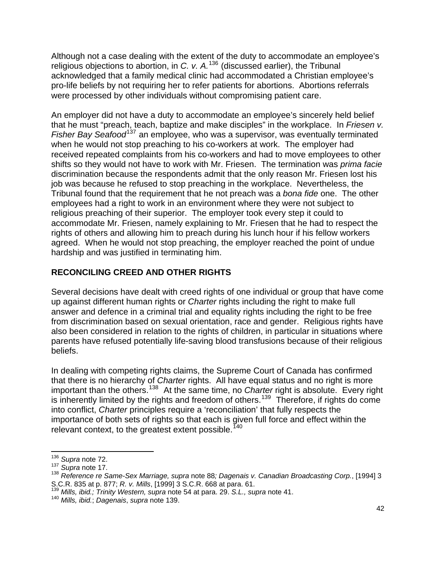Although not a case dealing with the extent of the duty to accommodate an employee's religious objections to abortion, in *C. v. A.*[136](#page-41-0) (discussed earlier), the Tribunal acknowledged that a family medical clinic had accommodated a Christian employee's pro-life beliefs by not requiring her to refer patients for abortions. Abortions referrals were processed by other individuals without compromising patient care.

An employer did not have a duty to accommodate an employee's sincerely held belief that he must "preach, teach, baptize and make disciples" in the workplace. In *Friesen v.*  Fisher Bay Seafood<sup>[137](#page-41-1)</sup> an employee, who was a supervisor, was eventually terminated when he would not stop preaching to his co-workers at work. The employer had received repeated complaints from his co-workers and had to move employees to other shifts so they would not have to work with Mr. Friesen. The termination was *prima facie*  discrimination because the respondents admit that the only reason Mr. Friesen lost his job was because he refused to stop preaching in the workplace. Nevertheless, the Tribunal found that the requirement that he not preach was a *bona fide* one. The other employees had a right to work in an environment where they were not subject to religious preaching of their superior. The employer took every step it could to accommodate Mr. Friesen, namely explaining to Mr. Friesen that he had to respect the rights of others and allowing him to preach during his lunch hour if his fellow workers agreed. When he would not stop preaching, the employer reached the point of undue hardship and was justified in terminating him.

## **RECONCILING CREED AND OTHER RIGHTS**

Several decisions have dealt with creed rights of one individual or group that have come up against different human rights or *Charter* rights including the right to make full answer and defence in a criminal trial and equality rights including the right to be free from discrimination based on sexual orientation, race and gender. Religious rights have also been considered in relation to the rights of children, in particular in situations where parents have refused potentially life-saving blood transfusions because of their religious beliefs.

In dealing with competing rights claims, the Supreme Court of Canada has confirmed that there is no hierarchy of *Charter* rights. All have equal status and no right is more important than the others.[138](#page-41-2) At the same time, no *Charter* right is absolute. Every right is inherently limited by the rights and freedom of others.<sup>[139](#page-41-3)</sup> Therefore, if rights do come into conflict, *Charter* principles require a 'reconciliation' that fully respects the importance of both sets of rights so that each is given full force and effect within the relevant context, to the greatest extent possible.<sup>[140](#page-41-4)</sup>

 <sup>136</sup> *Supra* note 72.

<span id="page-41-1"></span><span id="page-41-0"></span><sup>137</sup> *Supra* note 17.

<span id="page-41-2"></span><sup>138</sup> *Reference re Same-Sex Marriage, supra* note 88*; Dagenais v. Canadian Broadcasting Corp.*, [1994] 3

<span id="page-41-3"></span>S.C.R. 835 at p. 877; *R. v. Mills*, [1999] 3 S.C.R. 668 at para. 61. 139 *Mills, ibid.; Trinity Western, supra* note 54 at para. 29. *S.L., supra* note 41.

<span id="page-41-4"></span><sup>140</sup> *Mills, ibid.*; *Dagenais*, *supra* note 139.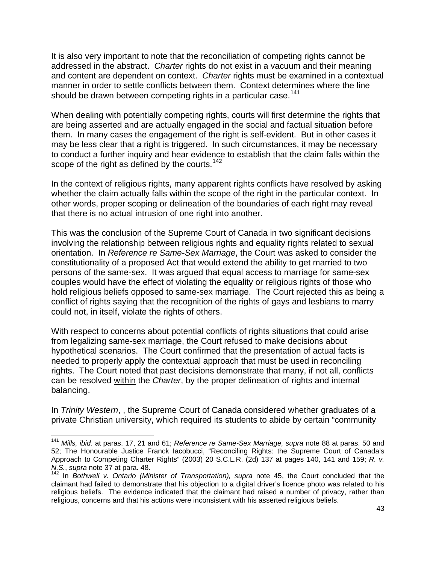It is also very important to note that the reconciliation of competing rights cannot be addressed in the abstract. *Charter* rights do not exist in a vacuum and their meaning and content are dependent on context. *Charter* rights must be examined in a contextual manner in order to settle conflicts between them. Context determines where the line should be drawn between competing rights in a particular case.[141](#page-42-0)

When dealing with potentially competing rights, courts will first determine the rights that are being asserted and are actually engaged in the social and factual situation before them. In many cases the engagement of the right is self-evident. But in other cases it may be less clear that a right is triggered. In such circumstances, it may be necessary to conduct a further inquiry and hear evidence to establish that the claim falls within the scope of the right as defined by the courts.<sup>[142](#page-42-1)</sup>

In the context of religious rights, many apparent rights conflicts have resolved by asking whether the claim actually falls within the scope of the right in the particular context. In other words, proper scoping or delineation of the boundaries of each right may reveal that there is no actual intrusion of one right into another.

This was the conclusion of the Supreme Court of Canada in two significant decisions involving the relationship between religious rights and equality rights related to sexual orientation. In *Reference re Same-Sex Marriage*, the Court was asked to consider the constitutionality of a proposed Act that would extend the ability to get married to two persons of the same-sex. It was argued that equal access to marriage for same-sex couples would have the effect of violating the equality or religious rights of those who hold religious beliefs opposed to same-sex marriage. The Court rejected this as being a conflict of rights saying that the recognition of the rights of gays and lesbians to marry could not, in itself, violate the rights of others.

With respect to concerns about potential conflicts of rights situations that could arise from legalizing same-sex marriage, the Court refused to make decisions about hypothetical scenarios. The Court confirmed that the presentation of actual facts is needed to properly apply the contextual approach that must be used in reconciling rights. The Court noted that past decisions demonstrate that many, if not all, conflicts can be resolved within the *Charter*, by the proper delineation of rights and internal balancing.

In *Trinity Western*, , the Supreme Court of Canada considered whether graduates of a private Christian university, which required its students to abide by certain "community

<u> 1990 - Andrea Albert III, martin a bhaile an t-Iomraidh an t-Iomraidh an t-Iomraidh an t-Iomraidh an t-Iomraid</u>

<span id="page-42-0"></span><sup>141</sup> *Mills, ibid.* at paras. 17, 21 and 61; *Reference re Same-Sex Marriage, supra* note 88 at paras. 50 and 52; The Honourable Justice Franck Iacobucci, "Reconciling Rights: the Supreme Court of Canada's Approach to Competing Charter Rights" (2003) 20 S.C.L.R. (2d) 137 at pages 140, 141 and 159; *R. v. N.S.*, *supra* note 37 at para. 48.<br><sup>142</sup> In *Bothwell v. Ontario (Minister of Transportation), supra* note 45, the Court concluded that the

<span id="page-42-1"></span>claimant had failed to demonstrate that his objection to a digital driver's licence photo was related to his religious beliefs. The evidence indicated that the claimant had raised a number of privacy, rather than religious, concerns and that his actions were inconsistent with his asserted religious beliefs.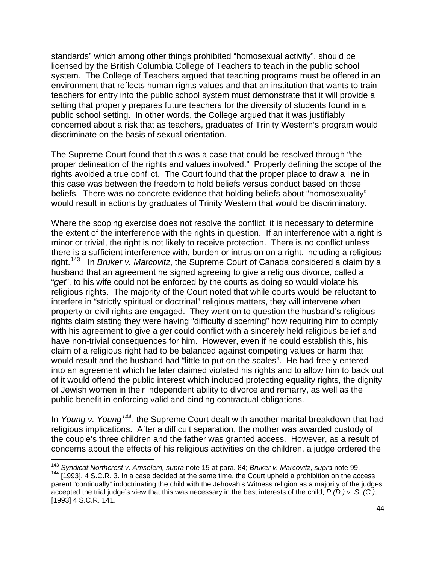standards" which among other things prohibited "homosexual activity", should be licensed by the British Columbia College of Teachers to teach in the public school system. The College of Teachers argued that teaching programs must be offered in an environment that reflects human rights values and that an institution that wants to train teachers for entry into the public school system must demonstrate that it will provide a setting that properly prepares future teachers for the diversity of students found in a public school setting. In other words, the College argued that it was justifiably concerned about a risk that as teachers, graduates of Trinity Western's program would discriminate on the basis of sexual orientation.

The Supreme Court found that this was a case that could be resolved through "the proper delineation of the rights and values involved." Properly defining the scope of the rights avoided a true conflict. The Court found that the proper place to draw a line in this case was between the freedom to hold beliefs versus conduct based on those beliefs. There was no concrete evidence that holding beliefs about "homosexuality" would result in actions by graduates of Trinity Western that would be discriminatory.

Where the scoping exercise does not resolve the conflict, it is necessary to determine the extent of the interference with the rights in question. If an interference with a right is minor or trivial, the right is not likely to receive protection. There is no conflict unless there is a sufficient interference with, burden or intrusion on a right, including a religious right.[143](#page-43-0) In *Bruker v. Marcovitz*, the Supreme Court of Canada considered a claim by a husband that an agreement he signed agreeing to give a religious divorce, called a "*get*", to his wife could not be enforced by the courts as doing so would violate his religious rights. The majority of the Court noted that while courts would be reluctant to interfere in "strictly spiritual or doctrinal" religious matters, they will intervene when property or civil rights are engaged. They went on to question the husband's religious rights claim stating they were having "difficulty discerning" how requiring him to comply with his agreement to give a *get* could conflict with a sincerely held religious belief and have non-trivial consequences for him. However, even if he could establish this, his claim of a religious right had to be balanced against competing values or harm that would result and the husband had "little to put on the scales". He had freely entered into an agreement which he later claimed violated his rights and to allow him to back out of it would offend the public interest which included protecting equality rights, the dignity of Jewish women in their independent ability to divorce and remarry, as well as the public benefit in enforcing valid and binding contractual obligations.

In *Young v. Young[144](#page-43-1)*, the Supreme Court dealt with another marital breakdown that had religious implications. After a difficult separation, the mother was awarded custody of the couple's three children and the father was granted access. However, as a result of concerns about the effects of his religious activities on the children, a judge ordered the

<u> 1980 - Andrea Albert III, martin am Franca</u>

<sup>143</sup> *Syndicat Northcrest v. Amselem, supra* note 15 at para. 84; *Bruker v. Marcovitz*, *supra* note 99.

<span id="page-43-1"></span><span id="page-43-0"></span><sup>144 [1993], 4</sup> S.C.R. 3. In a case decided at the same time, the Court upheld a prohibition on the access parent "continually" indoctrinating the child with the Jehovah's Witness religion as a majority of the judges accepted the trial judge's view that this was necessary in the best interests of the child; *P.(D.) v. S. (C.)*, [1993] 4 S.C.R. 141.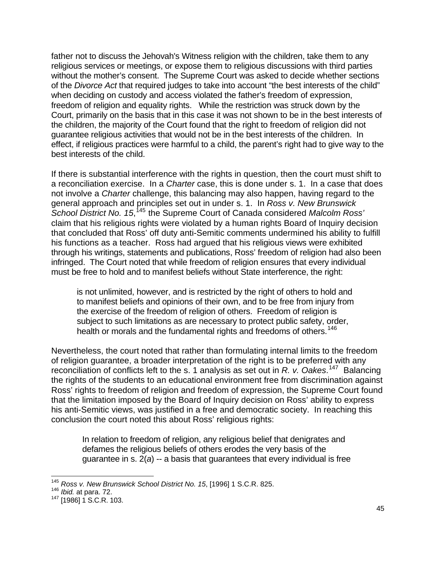father not to discuss the Jehovah's Witness religion with the children, take them to any religious services or meetings, or expose them to religious discussions with third parties without the mother's consent. The Supreme Court was asked to decide whether sections of the *Divorce Act* that required judges to take into account "the best interests of the child" when deciding on custody and access violated the father's freedom of expression, freedom of religion and equality rights. While the restriction was struck down by the Court, primarily on the basis that in this case it was not shown to be in the best interests of the children, the majority of the Court found that the right to freedom of religion did not guarantee religious activities that would not be in the best interests of the children. In effect, if religious practices were harmful to a child, the parent's right had to give way to the best interests of the child.

If there is substantial interference with the rights in question, then the court must shift to a reconciliation exercise. In a *Charter* case, this is done under s. 1. In a case that does not involve a *Charter* challenge, this balancing may also happen, having regard to the general approach and principles set out in under s. 1. In *Ross v. New Brunswick*  School District No. 15,<sup>[145](#page-44-0)</sup> the Supreme Court of Canada considered Malcolm Ross<sup>1</sup> claim that his religious rights were violated by a human rights Board of Inquiry decision that concluded that Ross' off duty anti-Semitic comments undermined his ability to fulfill his functions as a teacher. Ross had argued that his religious views were exhibited through his writings, statements and publications, Ross' freedom of religion had also been infringed. The Court noted that while freedom of religion ensures that every individual must be free to hold and to manifest beliefs without State interference, the right:

is not unlimited, however, and is restricted by the right of others to hold and to manifest beliefs and opinions of their own, and to be free from injury from the exercise of the freedom of religion of others. Freedom of religion is subject to such limitations as are necessary to protect public safety, order, health or morals and the fundamental rights and freedoms of others.<sup>[146](#page-44-1)</sup>

Nevertheless, the court noted that rather than formulating internal limits to the freedom of religion guarantee, a broader interpretation of the right is to be preferred with any reconciliation of conflicts left to the s. 1 analysis as set out in *R. v. Oakes*. [147](#page-44-2) Balancing the rights of the students to an educational environment free from discrimination against Ross' rights to freedom of religion and freedom of expression, the Supreme Court found that the limitation imposed by the Board of Inquiry decision on Ross' ability to express his anti-Semitic views, was justified in a free and democratic society. In reaching this conclusion the court noted this about Ross' religious rights:

In relation to freedom of religion, any religious belief that denigrates and defames the religious beliefs of others erodes the very basis of the guarantee in s. 2(*a*) -- a basis that guarantees that every individual is free

<span id="page-44-0"></span><sup>145</sup> *Ross v. New Brunswick School District No. 15*, [1996] 1 S.C.R. 825.

<span id="page-44-2"></span>

<span id="page-44-1"></span><sup>146</sup> *Ibid.* at para. 72. 147 [1986] 1 S.C.R. 103.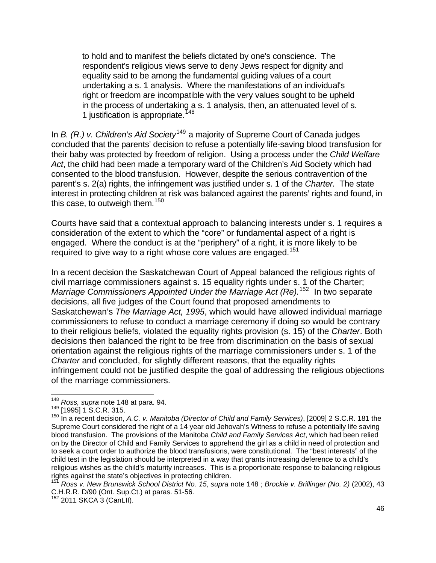to hold and to manifest the beliefs dictated by one's conscience. The respondent's religious views serve to deny Jews respect for dignity and equality said to be among the fundamental guiding values of a court undertaking a s. 1 analysis. Where the manifestations of an individual's right or freedom are incompatible with the very values sought to be upheld in the process of undertaking a s. 1 analysis, then, an attenuated level of s. 1 justification is appropriate.<sup>[148](#page-45-0)</sup>

In *B. (R.) v. Children's Aid Society*<sup>[149](#page-45-1)</sup> a majority of Supreme Court of Canada judges concluded that the parents' decision to refuse a potentially life-saving blood transfusion for their baby was protected by freedom of religion. Using a process under the *Child Welfare Act*, the child had been made a temporary ward of the Children's Aid Society which had consented to the blood transfusion. However, despite the serious contravention of the parent's s. 2(a) rights, the infringement was justified under s. 1 of the *Charter.* The state interest in protecting children at risk was balanced against the parents' rights and found, in this case, to outweigh them.<sup>[150](#page-45-2)</sup>

Courts have said that a contextual approach to balancing interests under s. 1 requires a consideration of the extent to which the "core" or fundamental aspect of a right is engaged. Where the conduct is at the "periphery" of a right, it is more likely to be required to give way to a right whose core values are engaged.<sup>[151](#page-45-3)</sup>

In a recent decision the Saskatchewan Court of Appeal balanced the religious rights of civil marriage commissioners against s. 15 equality rights under s. 1 of the Charter; *Marriage Commissioners Appointed Under the Marriage Act (Re).*[152](#page-45-4) In two separate decisions, all five judges of the Court found that proposed amendments to Saskatchewan's *The Marriage Act, 1995*, which would have allowed individual marriage commissioners to refuse to conduct a marriage ceremony if doing so would be contrary to their religious beliefs, violated the equality rights provision (s. 15) of the *Charter*. Both decisions then balanced the right to be free from discrimination on the basis of sexual orientation against the religious rights of the marriage commissioners under s. 1 of the *Charter* and concluded, for slightly different reasons, that the equality rights infringement could not be justified despite the goal of addressing the religious objections of the marriage commissioners.

<span id="page-45-0"></span><sup>&</sup>lt;sup>148</sup> *Ross, supra* note 148 at para. 94.<br><sup>149</sup> [1995] 1 S.C.R. 315.

<span id="page-45-2"></span><span id="page-45-1"></span><sup>150</sup> In a recent decision, *A.C. v. Manitoba (Director of Child and Family Services)*, [2009] 2 S.C.R. 181 the Supreme Court considered the right of a 14 year old Jehovah's Witness to refuse a potentially life saving blood transfusion. The provisions of the Manitoba *Child and Family Services Act*, which had been relied on by the Director of Child and Family Services to apprehend the girl as a child in need of protection and to seek a court order to authorize the blood transfusions, were constitutional. The "best interests" of the child test in the legislation should be interpreted in a way that grants increasing deference to a child's religious wishes as the child's maturity increases. This is a proportionate response to balancing religious rights against the state's objectives in protecting children.<br><sup>151</sup> Ross v. New Brunswick School District No. 15, supra note 148 ; *Brockie v. Brillinger (No. 2)* (2002), 43

<span id="page-45-3"></span>C.H.R.R. D/90 (Ont. Sup.Ct.) at paras. 51-56.

<span id="page-45-4"></span> $152$  2011 SKCA 3 (CanLII).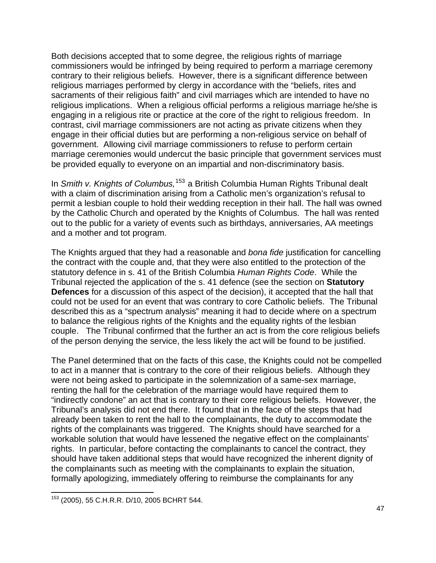Both decisions accepted that to some degree, the religious rights of marriage commissioners would be infringed by being required to perform a marriage ceremony contrary to their religious beliefs. However, there is a significant difference between religious marriages performed by clergy in accordance with the "beliefs, rites and sacraments of their religious faith" and civil marriages which are intended to have no religious implications. When a religious official performs a religious marriage he/she is engaging in a religious rite or practice at the core of the right to religious freedom. In contrast, civil marriage commissioners are not acting as private citizens when they engage in their official duties but are performing a non-religious service on behalf of government. Allowing civil marriage commissioners to refuse to perform certain marriage ceremonies would undercut the basic principle that government services must be provided equally to everyone on an impartial and non-discriminatory basis.

In *Smith v. Knights of Columbus,*[153](#page-46-0) a British Columbia Human Rights Tribunal dealt with a claim of discrimination arising from a Catholic men's organization's refusal to permit a lesbian couple to hold their wedding reception in their hall. The hall was owned by the Catholic Church and operated by the Knights of Columbus. The hall was rented out to the public for a variety of events such as birthdays, anniversaries, AA meetings and a mother and tot program.

The Knights argued that they had a reasonable and *bona fide* justification for cancelling the contract with the couple and, that they were also entitled to the protection of the statutory defence in s. 41 of the British Columbia *Human Rights Code*. While the Tribunal rejected the application of the s. 41 defence (see the section on **Statutory Defences** for a discussion of this aspect of the decision), it accepted that the hall that could not be used for an event that was contrary to core Catholic beliefs. The Tribunal described this as a "spectrum analysis" meaning it had to decide where on a spectrum to balance the religious rights of the Knights and the equality rights of the lesbian couple. The Tribunal confirmed that the further an act is from the core religious beliefs of the person denying the service, the less likely the act will be found to be justified.

The Panel determined that on the facts of this case, the Knights could not be compelled to act in a manner that is contrary to the core of their religious beliefs. Although they were not being asked to participate in the solemnization of a same-sex marriage, renting the hall for the celebration of the marriage would have required them to "indirectly condone" an act that is contrary to their core religious beliefs. However, the Tribunal's analysis did not end there. It found that in the face of the steps that had already been taken to rent the hall to the complainants, the duty to accommodate the rights of the complainants was triggered. The Knights should have searched for a workable solution that would have lessened the negative effect on the complainants' rights. In particular, before contacting the complainants to cancel the contract, they should have taken additional steps that would have recognized the inherent dignity of the complainants such as meeting with the complainants to explain the situation, formally apologizing, immediately offering to reimburse the complainants for any

<span id="page-46-0"></span> <sup>153</sup> (2005), 55 C.H.R.R. D/10, 2005 BCHRT 544.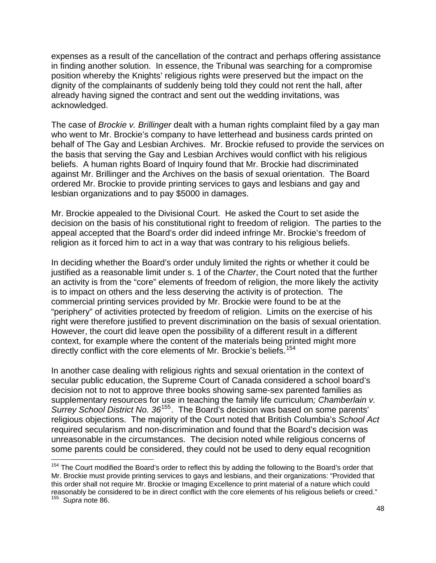expenses as a result of the cancellation of the contract and perhaps offering assistance in finding another solution. In essence, the Tribunal was searching for a compromise position whereby the Knights' religious rights were preserved but the impact on the dignity of the complainants of suddenly being told they could not rent the hall, after already having signed the contract and sent out the wedding invitations, was acknowledged.

The case of *Brockie v. Brillinger* dealt with a human rights complaint filed by a gay man who went to Mr. Brockie's company to have letterhead and business cards printed on behalf of The Gay and Lesbian Archives. Mr. Brockie refused to provide the services on the basis that serving the Gay and Lesbian Archives would conflict with his religious beliefs. A human rights Board of Inquiry found that Mr. Brockie had discriminated against Mr. Brillinger and the Archives on the basis of sexual orientation. The Board ordered Mr. Brockie to provide printing services to gays and lesbians and gay and lesbian organizations and to pay \$5000 in damages.

Mr. Brockie appealed to the Divisional Court. He asked the Court to set aside the decision on the basis of his constitutional right to freedom of religion. The parties to the appeal accepted that the Board's order did indeed infringe Mr. Brockie's freedom of religion as it forced him to act in a way that was contrary to his religious beliefs.

In deciding whether the Board's order unduly limited the rights or whether it could be justified as a reasonable limit under s. 1 of the *Charter*, the Court noted that the further an activity is from the "core" elements of freedom of religion, the more likely the activity is to impact on others and the less deserving the activity is of protection. The commercial printing services provided by Mr. Brockie were found to be at the "periphery" of activities protected by freedom of religion. Limits on the exercise of his right were therefore justified to prevent discrimination on the basis of sexual orientation. However, the court did leave open the possibility of a different result in a different context, for example where the content of the materials being printed might more directly conflict with the core elements of Mr. Brockie's beliefs.<sup>[154](#page-47-0)</sup>

In another case dealing with religious rights and sexual orientation in the context of secular public education, the Supreme Court of Canada considered a school board's decision not to not to approve three books showing same-sex parented families as supplementary resources for use in teaching the family life curriculum*; Chamberlain v. Surrey School District No. 36*[155](#page-47-1). The Board's decision was based on some parents' religious objections. The majority of the Court noted that British Columbia's *School Act* required secularism and non-discrimination and found that the Board's decision was unreasonable in the circumstances. The decision noted while religious concerns of some parents could be considered, they could not be used to deny equal recognition

<u> 1989 - Andrea Brand, Amerikaansk politiker (</u>

<span id="page-47-1"></span><span id="page-47-0"></span><sup>&</sup>lt;sup>154</sup> The Court modified the Board's order to reflect this by adding the following to the Board's order that Mr. Brockie must provide printing services to gays and lesbians, and their organizations: "Provided that this order shall not require Mr. Brockie or Imaging Excellence to print material of a nature which could reasonably be considered to be in direct conflict with the core elements of his religious beliefs or creed." 155 *Supra* note 86.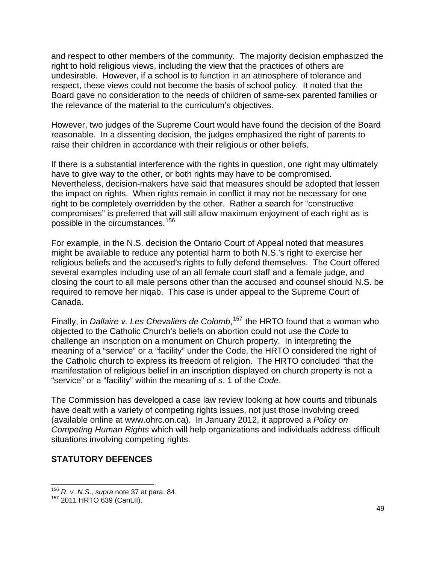and respect to other members of the community. The majority decision emphasized the right to hold religious views, including the view that the practices of others are undesirable. However, if a school is to function in an atmosphere of tolerance and respect, these views could not become the basis of school policy. It noted that the Board gave no consideration to the needs of children of same-sex parented families or the relevance of the material to the curriculum's objectives.

However, two judges of the Supreme Court would have found the decision of the Board reasonable. In a dissenting decision, the judges emphasized the right of parents to raise their children in accordance with their religious or other beliefs.

If there is a substantial interference with the rights in question, one right may ultimately have to give way to the other, or both rights may have to be compromised. Nevertheless, decision-makers have said that measures should be adopted that lessen the impact on rights. When rights remain in conflict it may not be necessary for one right to be completely overridden by the other. Rather a search for "constructive compromises" is preferred that will still allow maximum enjoyment of each right as is possible in the circumstances.<sup>[156](#page-48-0)</sup>

For example, in the N.S. decision the Ontario Court of Appeal noted that measures might be available to reduce any potential harm to both N.S.'s right to exercise her religious beliefs and the accused's rights to fully defend themselves. The Court offered several examples including use of an all female court staff and a female judge, and closing the court to all male persons other than the accused and counsel should N.S. be required to remove her niqab. This case is under appeal to the Supreme Court of Canada.

Finally, in *Dallaire v. Les Chevaliers de Colomb*, [157](#page-48-1) the HRTO found that a woman who objected to the Catholic Church's beliefs on abortion could not use the *Code* to challenge an inscription on a monument on Church property. In interpreting the meaning of a "service" or a "facility" under the Code, the HRTO considered the right of the Catholic church to express its freedom of religion. The HRTO concluded "that the manifestation of religious belief in an inscription displayed on church property is not a "service" or a "facility" within the meaning of s. 1 of the *Code*.

The Commission has developed a case law review looking at how courts and tribunals have dealt with a variety of competing rights issues, not just those involving creed (available online at www.ohrc.on.ca). In January 2012, it approved a *Policy on Competing Human Rights* which will help organizations and individuals address difficult situations involving competing rights.

### **STATUTORY DEFENCES**

<u> 1980 - Andrea Albert III, martin a bh</u>

<span id="page-48-1"></span><span id="page-48-0"></span><sup>&</sup>lt;sup>156</sup> *R. v. N.S., supra* note 37 at para. 84.<br><sup>157</sup> 2011 HRTO 639 (CanLII).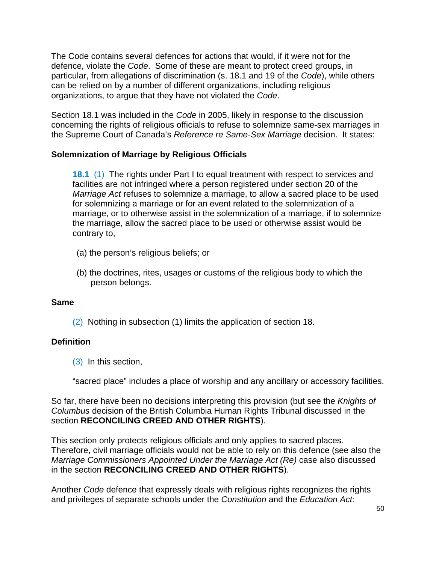The Code contains several defences for actions that would, if it were not for the defence, violate the *Code*. Some of these are meant to protect creed groups, in particular, from allegations of discrimination (s. 18.1 and 19 of the *Code*), while others can be relied on by a number of different organizations, including religious organizations, to argue that they have not violated the *Code*.

Section 18.1 was included in the *Code* in 2005, likely in response to the discussion concerning the rights of religious officials to refuse to solemnize same-sex marriages in the Supreme Court of Canada's *Reference re Same-Sex Marriage* decision. It states:

### **Solemnization of Marriage by Religious Officials**

**[18.1](http://www.e-laws.gov.on.ca/html/statutes/french/elaws_statutes_90h19_f.htm#s18p1s1)** [\(1\)](http://www.e-laws.gov.on.ca/html/statutes/french/elaws_statutes_90h19_f.htm#s18p1s1) The rights under Part I to equal treatment with respect to services and facilities are not infringed where a person registered under section 20 of the *Marriage Act* refuses to solemnize a marriage, to allow a sacred place to be used for solemnizing a marriage or for an event related to the solemnization of a marriage, or to otherwise assist in the solemnization of a marriage, if to solemnize the marriage, allow the sacred place to be used or otherwise assist would be contrary to,

- (a) the person's religious beliefs; or
- (b) the doctrines, rites, usages or customs of the religious body to which the person belongs.

### **Same**

[\(2\)](http://www.e-laws.gov.on.ca/html/statutes/french/elaws_statutes_90h19_f.htm#s18p1s2) Nothing in subsection (1) limits the application of section 18.

### **Definition**

[\(3\)](http://www.e-laws.gov.on.ca/html/statutes/french/elaws_statutes_90h19_f.htm#s18p1s3) In this section,

"sacred place" includes a place of worship and any ancillary or accessory facilities.

So far, there have been no decisions interpreting this provision (but see the *Knights of Columbus* decision of the British Columbia Human Rights Tribunal discussed in the section **RECONCILING CREED AND OTHER RIGHTS**).

This section only protects religious officials and only applies to sacred places. Therefore, civil marriage officials would not be able to rely on this defence (see also the *Marriage Commissioners Appointed Under the Marriage Act (Re)* case also discussed in the section **RECONCILING CREED AND OTHER RIGHTS**).

Another *Code* defence that expressly deals with religious rights recognizes the rights and privileges of separate schools under the *Constitution* and the *Education Act*: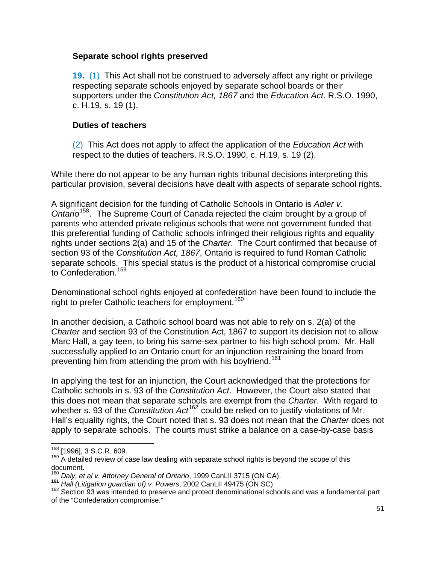#### **Separate school rights preserved**

**[19.](http://www.e-laws.gov.on.ca/html/statutes/french/elaws_statutes_90h19_f.htm#s19s1)** [\(1\)](http://www.e-laws.gov.on.ca/html/statutes/french/elaws_statutes_90h19_f.htm#s19s1) This Act shall not be construed to adversely affect any right or privilege respecting separate schools enjoyed by separate school boards or their supporters under the *Constitution Act, 1867* and the *Education Act*. R.S.O. 1990, c. H.19, s. 19 (1).

### **Duties of teachers**

[\(2\)](http://www.e-laws.gov.on.ca/html/statutes/french/elaws_statutes_90h19_f.htm#s19s2) This Act does not apply to affect the application of the *Education Act* with respect to the duties of teachers. R.S.O. 1990, c. H.19, s. 19 (2).

While there do not appear to be any human rights tribunal decisions interpreting this particular provision, several decisions have dealt with aspects of separate school rights.

A significant decision for the funding of Catholic Schools in Ontario is *Adler v. Ontario*[158](#page-50-0). The Supreme Court of Canada rejected the claim brought by a group of parents who attended private religious schools that were not government funded that this preferential funding of Catholic schools infringed their religious rights and equality rights under sections 2(a) and 15 of the *Charter*. The Court confirmed that because of section 93 of the *Constitution Act, 1867*, Ontario is required to fund Roman Catholic separate schools. This special status is the product of a historical compromise crucial to Confederation.<sup>[159](#page-50-1)</sup>

Denominational school rights enjoyed at confederation have been found to include the right to prefer Catholic teachers for employment.<sup>[160](#page-50-2)</sup>

In another decision, a Catholic school board was not able to rely on s. 2(a) of the *Charter* and section 93 of the Constitution Act, 1867 to support its decision not to allow Marc Hall, a gay teen, to bring his same-sex partner to his high school prom. Mr. Hall successfully applied to an Ontario court for an injunction restraining the board from preventing him from attending the prom with his boyfriend.<sup>[161](#page-50-3)</sup>

In applying the test for an injunction, the Court acknowledged that the protections for Catholic schools in s. 93 of the *Constitution Act*. However, the Court also stated that this does not mean that separate schools are exempt from the *Charter*. With regard to whether s. 93 of the *Constitution Act*<sup>[162](#page-50-4)</sup> could be relied on to justify violations of Mr. Hall's equality rights, the Court noted that s. 93 does not mean that the *Charter* does not apply to separate schools. The courts must strike a balance on a case-by-case basis

 <sup>158</sup> [1996], 3 S.C.R. 609.

<span id="page-50-1"></span><span id="page-50-0"></span> $159$  A detailed review of case law dealing with separate school rights is beyond the scope of this document.<br><sup>160</sup> Daly, et al v. Attorney General of Ontario, 1999 CanLII 3715 (ON CA).

<span id="page-50-4"></span><span id="page-50-3"></span><span id="page-50-2"></span><sup>&</sup>lt;sup>161</sup> Hall (Litigation guardian of) v. Powers, 2002 CanLII 49475 (ON SC).<br><sup>162</sup> Section 93 was intended to preserve and protect denominational schools and was a fundamental part of the "Confederation compromise."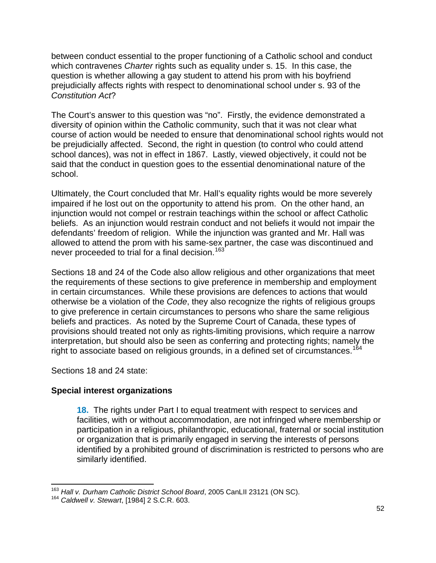between conduct essential to the proper functioning of a Catholic school and conduct which contravenes *Charter* rights such as equality under s. 15. In this case, the question is whether allowing a gay student to attend his prom with his boyfriend prejudicially affects rights with respect to denominational school under s. 93 of the *Constitution Act*?

The Court's answer to this question was "no". Firstly, the evidence demonstrated a diversity of opinion within the Catholic community, such that it was not clear what course of action would be needed to ensure that denominational school rights would not be prejudicially affected. Second, the right in question (to control who could attend school dances), was not in effect in 1867. Lastly, viewed objectively, it could not be said that the conduct in question goes to the essential denominational nature of the school.

Ultimately, the Court concluded that Mr. Hall's equality rights would be more severely impaired if he lost out on the opportunity to attend his prom. On the other hand, an injunction would not compel or restrain teachings within the school or affect Catholic beliefs. As an injunction would restrain conduct and not beliefs it would not impair the defendants' freedom of religion. While the injunction was granted and Mr. Hall was allowed to attend the prom with his same-sex partner, the case was discontinued and never proceeded to trial for a final decision.<sup>[163](#page-51-0)</sup>

Sections 18 and 24 of the Code also allow religious and other organizations that meet the requirements of these sections to give preference in membership and employment in certain circumstances. While these provisions are defences to actions that would otherwise be a violation of the *Code*, they also recognize the rights of religious groups to give preference in certain circumstances to persons who share the same religious beliefs and practices. As noted by the Supreme Court of Canada, these types of provisions should treated not only as rights-limiting provisions, which require a narrow interpretation, but should also be seen as conferring and protecting rights; namely the right to associate based on religious grounds, in a defined set of circumstances.<sup>[164](#page-51-1)</sup>

Sections 18 and 24 state:

### **Special interest organizations**

**[18.](http://www.e-laws.gov.on.ca/html/statutes/french/elaws_statutes_90h19_f.htm#s18)** The rights under Part I to equal treatment with respect to services and facilities, with or without accommodation, are not infringed where membership or participation in a religious, philanthropic, educational, fraternal or social institution or organization that is primarily engaged in serving the interests of persons identified by a prohibited ground of discrimination is restricted to persons who are similarly identified.

<span id="page-51-0"></span><sup>&</sup>lt;u> 1980 - Andrea Albert III, martin am Franca</u> <sup>163</sup> *Hall v. Durham Catholic District School Board*, 2005 CanLII 23121 (ON SC).<br><sup>164</sup> *Caldwell v. Stewart*, [1984] 2 S.C.R. 603.

<span id="page-51-1"></span>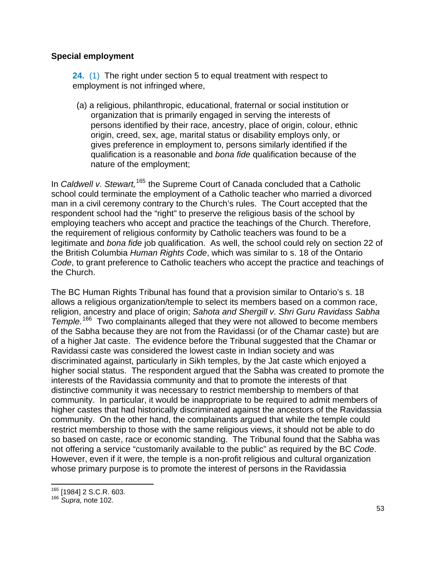### **Special employment**

**[24.](http://www.e-laws.gov.on.ca/html/statutes/french/elaws_statutes_90h19_f.htm#s24s1)** [\(1\)](http://www.e-laws.gov.on.ca/html/statutes/french/elaws_statutes_90h19_f.htm#s24s1) The right under section 5 to equal treatment with respect to employment is not infringed where,

(a) a religious, philanthropic, educational, fraternal or social institution or organization that is primarily engaged in serving the interests of persons identified by their race, ancestry, place of origin, colour, ethnic origin, creed, sex, age, marital status or disability employs only, or gives preference in employment to, persons similarly identified if the qualification is a reasonable and *bona fide* qualification because of the nature of the employment;

In *Caldwell v. Stewart,*[165](#page-52-0) the Supreme Court of Canada concluded that a Catholic school could terminate the employment of a Catholic teacher who married a divorced man in a civil ceremony contrary to the Church's rules. The Court accepted that the respondent school had the "right" to preserve the religious basis of the school by employing teachers who accept and practice the teachings of the Church. Therefore, the requirement of religious conformity by Catholic teachers was found to be a legitimate and *bona fide* job qualification. As well, the school could rely on section 22 of the British Columbia *Human Rights Code*, which was similar to s. 18 of the Ontario *Code*, to grant preference to Catholic teachers who accept the practice and teachings of the Church.

The BC Human Rights Tribunal has found that a provision similar to Ontario's s. 18 allows a religious organization/temple to select its members based on a common race, religion, ancestry and place of origin; *Sahota and Shergill v. Shri Guru Ravidass Sabha Temple.*[166](#page-52-1) Two complainants alleged that they were not allowed to become members of the Sabha because they are not from the Ravidassi (or of the Chamar caste) but are of a higher Jat caste. The evidence before the Tribunal suggested that the Chamar or Ravidassi caste was considered the lowest caste in Indian society and was discriminated against, particularly in Sikh temples, by the Jat caste which enjoyed a higher social status. The respondent argued that the Sabha was created to promote the interests of the Ravidassia community and that to promote the interests of that distinctive community it was necessary to restrict membership to members of that community. In particular, it would be inappropriate to be required to admit members of higher castes that had historically discriminated against the ancestors of the Ravidassia community. On the other hand, the complainants argued that while the temple could restrict membership to those with the same religious views, it should not be able to do so based on caste, race or economic standing. The Tribunal found that the Sabha was not offering a service "customarily available to the public" as required by the BC *Code*. However, even if it were, the temple is a non-profit religious and cultural organization whose primary purpose is to promote the interest of persons in the Ravidassia

<span id="page-52-0"></span><sup>&</sup>lt;u> 1980 - Andrea Albert III, martin am Britânia (h. 1974).</u><br>1901 - Andrea Albert II, martin antzeki eta biztanleria (h. 1980). <sup>165</sup> [1984] 2 S.C.R. 603.<br><sup>166</sup> *Supra,* note 102.

<span id="page-52-1"></span>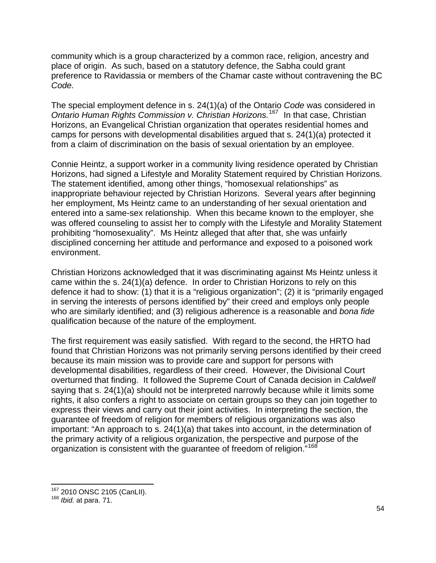community which is a group characterized by a common race, religion, ancestry and place of origin. As such, based on a statutory defence, the Sabha could grant preference to Ravidassia or members of the Chamar caste without contravening the BC *Code.* 

The special employment defence in s. 24(1)(a) of the Ontario *Code* was considered in *Ontario Human Rights Commission v. Christian Horizons.*[167](#page-53-0) In that case, Christian Horizons, an Evangelical Christian organization that operates residential homes and camps for persons with developmental disabilities argued that s. 24(1)(a) protected it from a claim of discrimination on the basis of sexual orientation by an employee.

Connie Heintz, a support worker in a community living residence operated by Christian Horizons, had signed a Lifestyle and Morality Statement required by Christian Horizons. The statement identified, among other things, "homosexual relationships" as inappropriate behaviour rejected by Christian Horizons. Several years after beginning her employment, Ms Heintz came to an understanding of her sexual orientation and entered into a same-sex relationship. When this became known to the employer, she was offered counseling to assist her to comply with the Lifestyle and Morality Statement prohibiting "homosexuality". Ms Heintz alleged that after that, she was unfairly disciplined concerning her attitude and performance and exposed to a poisoned work environment.

Christian Horizons acknowledged that it was discriminating against Ms Heintz unless it came within the s. 24(1)(a) defence. In order to Christian Horizons to rely on this defence it had to show: (1) that it is a "religious organization"; (2) it is "primarily engaged in serving the interests of persons identified by" their creed and employs only people who are similarly identified; and (3) religious adherence is a reasonable and *bona fide* qualification because of the nature of the employment.

The first requirement was easily satisfied. With regard to the second, the HRTO had found that Christian Horizons was not primarily serving persons identified by their creed because its main mission was to provide care and support for persons with developmental disabilities, regardless of their creed. However, the Divisional Court overturned that finding. It followed the Supreme Court of Canada decision in *Caldwell* saying that s. 24(1)(a) should not be interpreted narrowly because while it limits some rights, it also confers a right to associate on certain groups so they can join together to express their views and carry out their joint activities. In interpreting the section, the guarantee of freedom of religion for members of religious organizations was also important: "An approach to s. 24(1)(a) that takes into account, in the determination of the primary activity of a religious organization, the perspective and purpose of the organization is consistent with the guarantee of freedom of religion."<sup>[168](#page-53-1)</sup>

<span id="page-53-0"></span><sup>&</sup>lt;u> 1980 - Andrea Albert III, martin am Britânia (h. 1974).</u><br>1901 - Andrea Albert II, martin antzeki eta biztanleria (h. 1980). <sup>167</sup> 2010 ONSC 2105 (CanLII).<br><sup>168</sup> *Ibid.* at para. 71.

<span id="page-53-1"></span>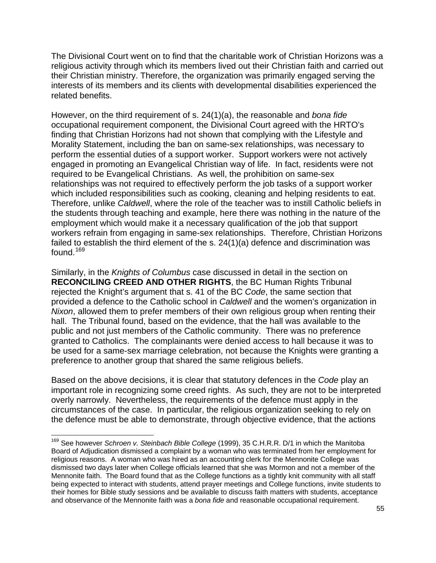The Divisional Court went on to find that the charitable work of Christian Horizons was a religious activity through which its members lived out their Christian faith and carried out their Christian ministry. Therefore, the organization was primarily engaged serving the interests of its members and its clients with developmental disabilities experienced the related benefits.

However, on the third requirement of s. 24(1)(a), the reasonable and *bona fide* occupational requirement component, the Divisional Court agreed with the HRTO's finding that Christian Horizons had not shown that complying with the Lifestyle and Morality Statement, including the ban on same-sex relationships, was necessary to perform the essential duties of a support worker. Support workers were not actively engaged in promoting an Evangelical Christian way of life. In fact, residents were not required to be Evangelical Christians. As well, the prohibition on same-sex relationships was not required to effectively perform the job tasks of a support worker which included responsibilities such as cooking, cleaning and helping residents to eat. Therefore, unlike *Caldwell*, where the role of the teacher was to instill Catholic beliefs in the students through teaching and example, here there was nothing in the nature of the employment which would make it a necessary qualification of the job that support workers refrain from engaging in same-sex relationships. Therefore, Christian Horizons failed to establish the third element of the s. 24(1)(a) defence and discrimination was found.<sup>[169](#page-54-0)</sup>

Similarly, in the *Knights of Columbus* case discussed in detail in the section on **RECONCILING CREED AND OTHER RIGHTS**, the BC Human Rights Tribunal rejected the Knight's argument that s. 41 of the BC *Code*, the same section that provided a defence to the Catholic school in *Caldwell* and the women's organization in *Nixon*, allowed them to prefer members of their own religious group when renting their hall. The Tribunal found, based on the evidence, that the hall was available to the public and not just members of the Catholic community. There was no preference granted to Catholics. The complainants were denied access to hall because it was to be used for a same-sex marriage celebration, not because the Knights were granting a preference to another group that shared the same religious beliefs.

Based on the above decisions, it is clear that statutory defences in the *Code* play an important role in recognizing some creed rights. As such, they are not to be interpreted overly narrowly. Nevertheless, the requirements of the defence must apply in the circumstances of the case. In particular, the religious organization seeking to rely on the defence must be able to demonstrate, through objective evidence, that the actions

<u> 1980 - Andrea Albert III, martin am Franca</u>

<span id="page-54-0"></span><sup>169</sup> See however *Schroen v. Steinbach Bible College* (1999), 35 C.H.R.R. D/1 in which the Manitoba Board of Adjudication dismissed a complaint by a woman who was terminated from her employment for religious reasons. A woman who was hired as an accounting clerk for the Mennonite College was dismissed two days later when College officials learned that she was Mormon and not a member of the Mennonite faith. The Board found that as the College functions as a tightly knit community with all staff being expected to interact with students, attend prayer meetings and College functions, invite students to their homes for Bible study sessions and be available to discuss faith matters with students, acceptance and observance of the Mennonite faith was a *bona fide* and reasonable occupational requirement.